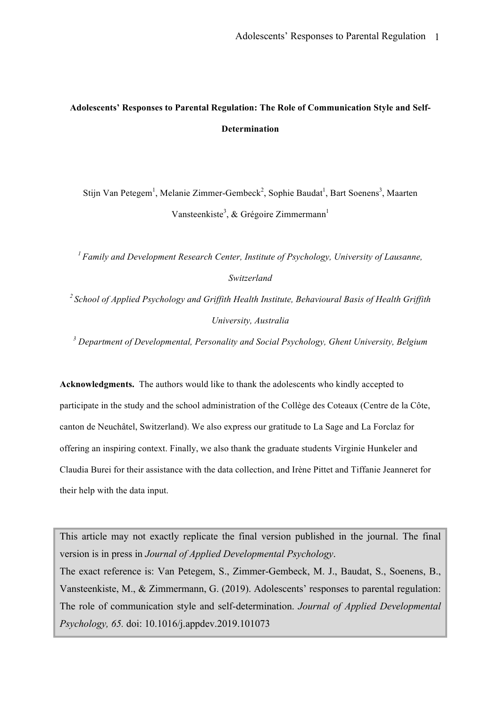# **Adolescents' Responses to Parental Regulation: The Role of Communication Style and Self-Determination**

Stijn Van Petegem<sup>1</sup>, Melanie Zimmer-Gembeck<sup>2</sup>, Sophie Baudat<sup>1</sup>, Bart Soenens<sup>3</sup>, Maarten Vansteenkiste<sup>3</sup>, & Grégoire Zimmermann<sup>1</sup>

*1 Family and Development Research Center, Institute of Psychology, University of Lausanne, Switzerland*

*2 School of Applied Psychology and Griffith Health Institute, Behavioural Basis of Health Griffith University, Australia*

*<sup>3</sup> Department of Developmental, Personality and Social Psychology, Ghent University, Belgium*

**Acknowledgments.** The authors would like to thank the adolescents who kindly accepted to participate in the study and the school administration of the Collège des Coteaux (Centre de la Côte, canton de Neuchâtel, Switzerland). We also express our gratitude to La Sage and La Forclaz for offering an inspiring context. Finally, we also thank the graduate students Virginie Hunkeler and Claudia Burei for their assistance with the data collection, and Irène Pittet and Tiffanie Jeanneret for their help with the data input.

This article may not exactly replicate the final version published in the journal. The final version is in press in *Journal of Applied Developmental Psychology*. The exact reference is: Van Petegem, S., Zimmer-Gembeck, M. J., Baudat, S., Soenens, B., Vansteenkiste, M., & Zimmermann, G. (2019). Adolescents' responses to parental regulation: The role of communication style and self-determination. *Journal of Applied Developmental Psychology, 65.* doi: 10.1016/j.appdev.2019.101073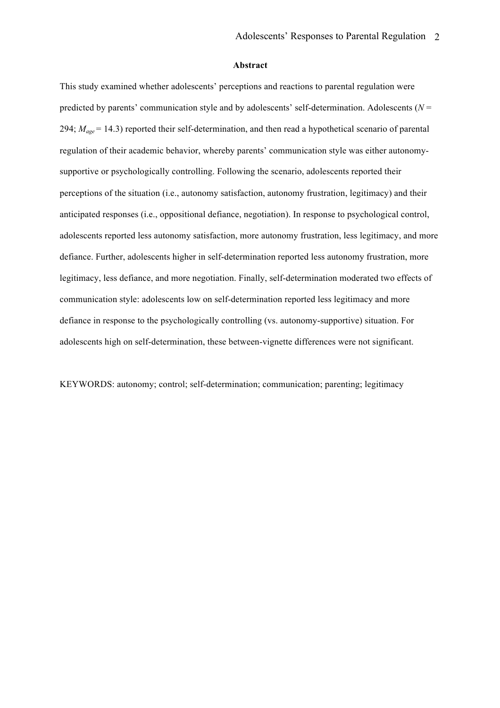#### **Abstract**

This study examined whether adolescents' perceptions and reactions to parental regulation were predicted by parents' communication style and by adolescents' self-determination. Adolescents (*N* = 294; *Mage* = 14.3) reported their self-determination, and then read a hypothetical scenario of parental regulation of their academic behavior, whereby parents' communication style was either autonomysupportive or psychologically controlling. Following the scenario, adolescents reported their perceptions of the situation (i.e., autonomy satisfaction, autonomy frustration, legitimacy) and their anticipated responses (i.e., oppositional defiance, negotiation). In response to psychological control, adolescents reported less autonomy satisfaction, more autonomy frustration, less legitimacy, and more defiance. Further, adolescents higher in self-determination reported less autonomy frustration, more legitimacy, less defiance, and more negotiation. Finally, self-determination moderated two effects of communication style: adolescents low on self-determination reported less legitimacy and more defiance in response to the psychologically controlling (vs. autonomy-supportive) situation. For adolescents high on self-determination, these between-vignette differences were not significant.

KEYWORDS: autonomy; control; self-determination; communication; parenting; legitimacy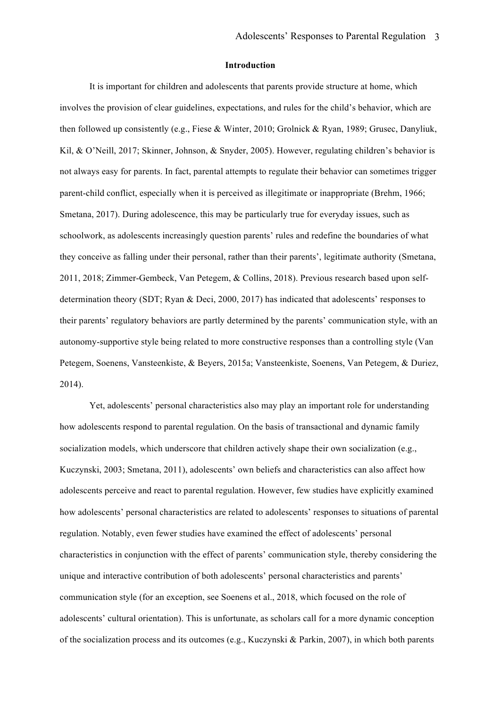# **Introduction**

It is important for children and adolescents that parents provide structure at home, which involves the provision of clear guidelines, expectations, and rules for the child's behavior, which are then followed up consistently (e.g., Fiese & Winter, 2010; Grolnick & Ryan, 1989; Grusec, Danyliuk, Kil, & O'Neill, 2017; Skinner, Johnson, & Snyder, 2005). However, regulating children's behavior is not always easy for parents. In fact, parental attempts to regulate their behavior can sometimes trigger parent-child conflict, especially when it is perceived as illegitimate or inappropriate (Brehm, 1966; Smetana, 2017). During adolescence, this may be particularly true for everyday issues, such as schoolwork, as adolescents increasingly question parents' rules and redefine the boundaries of what they conceive as falling under their personal, rather than their parents', legitimate authority (Smetana, 2011, 2018; Zimmer-Gembeck, Van Petegem, & Collins, 2018). Previous research based upon selfdetermination theory (SDT; Ryan & Deci, 2000, 2017) has indicated that adolescents' responses to their parents' regulatory behaviors are partly determined by the parents' communication style, with an autonomy-supportive style being related to more constructive responses than a controlling style (Van Petegem, Soenens, Vansteenkiste, & Beyers, 2015a; Vansteenkiste, Soenens, Van Petegem, & Duriez, 2014).

Yet, adolescents' personal characteristics also may play an important role for understanding how adolescents respond to parental regulation. On the basis of transactional and dynamic family socialization models, which underscore that children actively shape their own socialization (e.g., Kuczynski, 2003; Smetana, 2011), adolescents' own beliefs and characteristics can also affect how adolescents perceive and react to parental regulation. However, few studies have explicitly examined how adolescents' personal characteristics are related to adolescents' responses to situations of parental regulation. Notably, even fewer studies have examined the effect of adolescents' personal characteristics in conjunction with the effect of parents' communication style, thereby considering the unique and interactive contribution of both adolescents' personal characteristics and parents' communication style (for an exception, see Soenens et al., 2018, which focused on the role of adolescents' cultural orientation). This is unfortunate, as scholars call for a more dynamic conception of the socialization process and its outcomes (e.g., Kuczynski & Parkin, 2007), in which both parents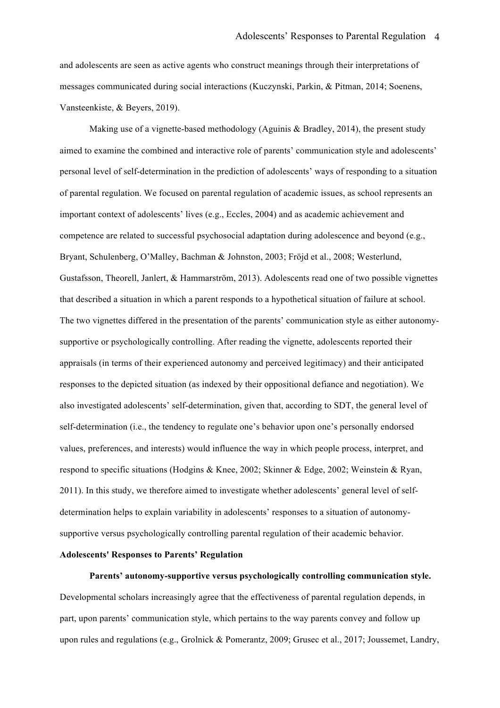and adolescents are seen as active agents who construct meanings through their interpretations of messages communicated during social interactions (Kuczynski, Parkin, & Pitman, 2014; Soenens, Vansteenkiste, & Beyers, 2019).

Making use of a vignette-based methodology (Aguinis  $\&$  Bradley, 2014), the present study aimed to examine the combined and interactive role of parents' communication style and adolescents' personal level of self-determination in the prediction of adolescents' ways of responding to a situation of parental regulation. We focused on parental regulation of academic issues, as school represents an important context of adolescents' lives (e.g., Eccles, 2004) and as academic achievement and competence are related to successful psychosocial adaptation during adolescence and beyond (e.g., Bryant, Schulenberg, O'Malley, Bachman & Johnston, 2003; Fröjd et al., 2008; Westerlund, Gustafsson, Theorell, Janlert, & Hammarström, 2013). Adolescents read one of two possible vignettes that described a situation in which a parent responds to a hypothetical situation of failure at school. The two vignettes differed in the presentation of the parents' communication style as either autonomysupportive or psychologically controlling. After reading the vignette, adolescents reported their appraisals (in terms of their experienced autonomy and perceived legitimacy) and their anticipated responses to the depicted situation (as indexed by their oppositional defiance and negotiation). We also investigated adolescents' self-determination, given that, according to SDT, the general level of self-determination (i.e., the tendency to regulate one's behavior upon one's personally endorsed values, preferences, and interests) would influence the way in which people process, interpret, and respond to specific situations (Hodgins & Knee, 2002; Skinner & Edge, 2002; Weinstein & Ryan, 2011). In this study, we therefore aimed to investigate whether adolescents' general level of selfdetermination helps to explain variability in adolescents' responses to a situation of autonomysupportive versus psychologically controlling parental regulation of their academic behavior.

# **Adolescents' Responses to Parents' Regulation**

**Parents' autonomy-supportive versus psychologically controlling communication style.** Developmental scholars increasingly agree that the effectiveness of parental regulation depends, in part, upon parents' communication style, which pertains to the way parents convey and follow up upon rules and regulations (e.g., Grolnick & Pomerantz, 2009; Grusec et al., 2017; Joussemet, Landry,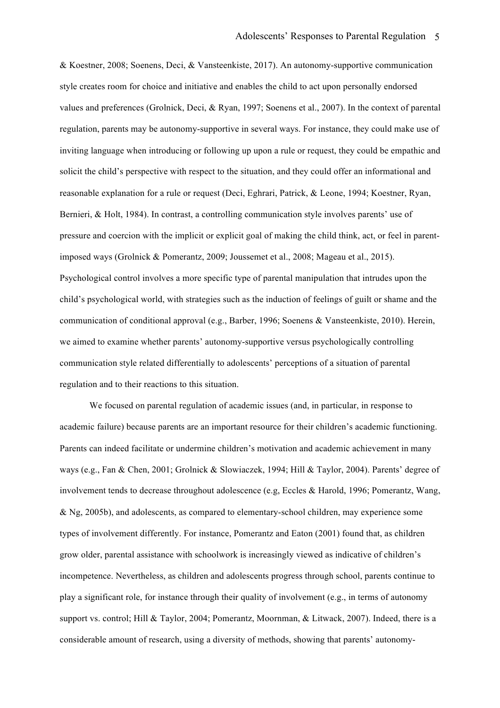& Koestner, 2008; Soenens, Deci, & Vansteenkiste, 2017). An autonomy-supportive communication style creates room for choice and initiative and enables the child to act upon personally endorsed values and preferences (Grolnick, Deci, & Ryan, 1997; Soenens et al., 2007). In the context of parental regulation, parents may be autonomy-supportive in several ways. For instance, they could make use of inviting language when introducing or following up upon a rule or request, they could be empathic and solicit the child's perspective with respect to the situation, and they could offer an informational and reasonable explanation for a rule or request (Deci, Eghrari, Patrick, & Leone, 1994; Koestner, Ryan, Bernieri, & Holt, 1984). In contrast, a controlling communication style involves parents' use of pressure and coercion with the implicit or explicit goal of making the child think, act, or feel in parentimposed ways (Grolnick & Pomerantz, 2009; Joussemet et al., 2008; Mageau et al., 2015). Psychological control involves a more specific type of parental manipulation that intrudes upon the child's psychological world, with strategies such as the induction of feelings of guilt or shame and the communication of conditional approval (e.g., Barber, 1996; Soenens & Vansteenkiste, 2010). Herein, we aimed to examine whether parents' autonomy-supportive versus psychologically controlling communication style related differentially to adolescents' perceptions of a situation of parental regulation and to their reactions to this situation.

We focused on parental regulation of academic issues (and, in particular, in response to academic failure) because parents are an important resource for their children's academic functioning. Parents can indeed facilitate or undermine children's motivation and academic achievement in many ways (e.g., Fan & Chen, 2001; Grolnick & Slowiaczek, 1994; Hill & Taylor, 2004). Parents' degree of involvement tends to decrease throughout adolescence (e.g, Eccles & Harold, 1996; Pomerantz, Wang, & Ng, 2005b), and adolescents, as compared to elementary-school children, may experience some types of involvement differently. For instance, Pomerantz and Eaton (2001) found that, as children grow older, parental assistance with schoolwork is increasingly viewed as indicative of children's incompetence. Nevertheless, as children and adolescents progress through school, parents continue to play a significant role, for instance through their quality of involvement (e.g., in terms of autonomy support vs. control; Hill & Taylor, 2004; Pomerantz, Moornman, & Litwack, 2007). Indeed, there is a considerable amount of research, using a diversity of methods, showing that parents' autonomy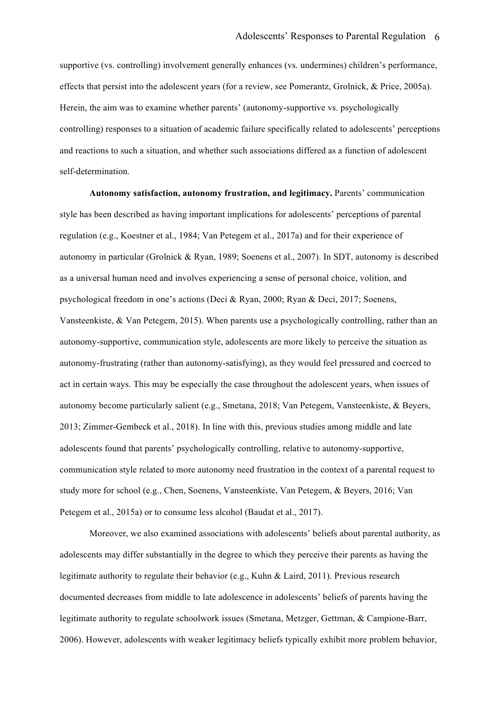supportive (vs. controlling) involvement generally enhances (vs. undermines) children's performance, effects that persist into the adolescent years (for a review, see Pomerantz, Grolnick, & Price, 2005a). Herein, the aim was to examine whether parents' (autonomy-supportive vs. psychologically controlling) responses to a situation of academic failure specifically related to adolescents' perceptions and reactions to such a situation, and whether such associations differed as a function of adolescent self-determination.

**Autonomy satisfaction, autonomy frustration, and legitimacy.** Parents' communication style has been described as having important implications for adolescents' perceptions of parental regulation (e.g., Koestner et al., 1984; Van Petegem et al., 2017a) and for their experience of autonomy in particular (Grolnick & Ryan, 1989; Soenens et al., 2007). In SDT, autonomy is described as a universal human need and involves experiencing a sense of personal choice, volition, and psychological freedom in one's actions (Deci & Ryan, 2000; Ryan & Deci, 2017; Soenens, Vansteenkiste, & Van Petegem, 2015). When parents use a psychologically controlling, rather than an autonomy-supportive, communication style, adolescents are more likely to perceive the situation as autonomy-frustrating (rather than autonomy-satisfying), as they would feel pressured and coerced to act in certain ways. This may be especially the case throughout the adolescent years, when issues of autonomy become particularly salient (e.g., Smetana, 2018; Van Petegem, Vansteenkiste, & Beyers, 2013; Zimmer-Gembeck et al., 2018). In line with this, previous studies among middle and late adolescents found that parents' psychologically controlling, relative to autonomy-supportive, communication style related to more autonomy need frustration in the context of a parental request to study more for school (e.g., Chen, Soenens, Vansteenkiste, Van Petegem, & Beyers, 2016; Van Petegem et al., 2015a) or to consume less alcohol (Baudat et al., 2017).

Moreover, we also examined associations with adolescents' beliefs about parental authority, as adolescents may differ substantially in the degree to which they perceive their parents as having the legitimate authority to regulate their behavior (e.g., Kuhn & Laird, 2011). Previous research documented decreases from middle to late adolescence in adolescents' beliefs of parents having the legitimate authority to regulate schoolwork issues (Smetana, Metzger, Gettman, & Campione-Barr, 2006). However, adolescents with weaker legitimacy beliefs typically exhibit more problem behavior,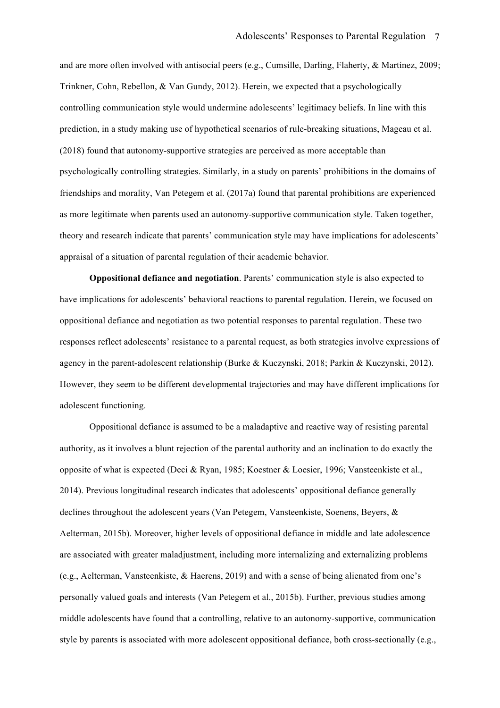and are more often involved with antisocial peers (e.g., Cumsille, Darling, Flaherty, & Martínez, 2009; Trinkner, Cohn, Rebellon, & Van Gundy, 2012). Herein, we expected that a psychologically controlling communication style would undermine adolescents' legitimacy beliefs. In line with this prediction, in a study making use of hypothetical scenarios of rule-breaking situations, Mageau et al. (2018) found that autonomy-supportive strategies are perceived as more acceptable than psychologically controlling strategies. Similarly, in a study on parents' prohibitions in the domains of friendships and morality, Van Petegem et al. (2017a) found that parental prohibitions are experienced as more legitimate when parents used an autonomy-supportive communication style. Taken together, theory and research indicate that parents' communication style may have implications for adolescents' appraisal of a situation of parental regulation of their academic behavior.

**Oppositional defiance and negotiation**. Parents' communication style is also expected to have implications for adolescents' behavioral reactions to parental regulation. Herein, we focused on oppositional defiance and negotiation as two potential responses to parental regulation. These two responses reflect adolescents' resistance to a parental request, as both strategies involve expressions of agency in the parent-adolescent relationship (Burke & Kuczynski, 2018; Parkin & Kuczynski, 2012). However, they seem to be different developmental trajectories and may have different implications for adolescent functioning.

Oppositional defiance is assumed to be a maladaptive and reactive way of resisting parental authority, as it involves a blunt rejection of the parental authority and an inclination to do exactly the opposite of what is expected (Deci & Ryan, 1985; Koestner & Loesier, 1996; Vansteenkiste et al., 2014). Previous longitudinal research indicates that adolescents' oppositional defiance generally declines throughout the adolescent years (Van Petegem, Vansteenkiste, Soenens, Beyers, & Aelterman, 2015b). Moreover, higher levels of oppositional defiance in middle and late adolescence are associated with greater maladjustment, including more internalizing and externalizing problems (e.g., Aelterman, Vansteenkiste, & Haerens, 2019) and with a sense of being alienated from one's personally valued goals and interests (Van Petegem et al., 2015b). Further, previous studies among middle adolescents have found that a controlling, relative to an autonomy-supportive, communication style by parents is associated with more adolescent oppositional defiance, both cross-sectionally (e.g.,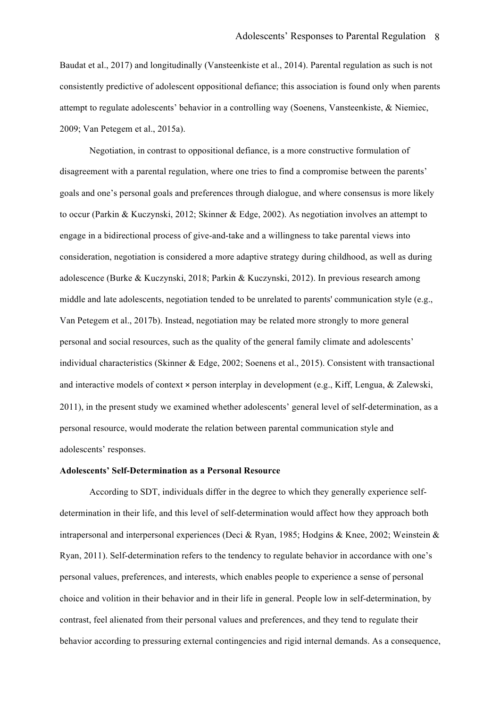Baudat et al., 2017) and longitudinally (Vansteenkiste et al., 2014). Parental regulation as such is not consistently predictive of adolescent oppositional defiance; this association is found only when parents attempt to regulate adolescents' behavior in a controlling way (Soenens, Vansteenkiste, & Niemiec, 2009; Van Petegem et al., 2015a).

Negotiation, in contrast to oppositional defiance, is a more constructive formulation of disagreement with a parental regulation, where one tries to find a compromise between the parents' goals and one's personal goals and preferences through dialogue, and where consensus is more likely to occur (Parkin & Kuczynski, 2012; Skinner & Edge, 2002). As negotiation involves an attempt to engage in a bidirectional process of give-and-take and a willingness to take parental views into consideration, negotiation is considered a more adaptive strategy during childhood, as well as during adolescence (Burke & Kuczynski, 2018; Parkin & Kuczynski, 2012). In previous research among middle and late adolescents, negotiation tended to be unrelated to parents' communication style (e.g., Van Petegem et al., 2017b). Instead, negotiation may be related more strongly to more general personal and social resources, such as the quality of the general family climate and adolescents' individual characteristics (Skinner & Edge, 2002; Soenens et al., 2015). Consistent with transactional and interactive models of context × person interplay in development (e.g., Kiff, Lengua, & Zalewski, 2011), in the present study we examined whether adolescents' general level of self-determination, as a personal resource, would moderate the relation between parental communication style and adolescents' responses.

# **Adolescents' Self-Determination as a Personal Resource**

According to SDT, individuals differ in the degree to which they generally experience selfdetermination in their life, and this level of self-determination would affect how they approach both intrapersonal and interpersonal experiences (Deci & Ryan, 1985; Hodgins & Knee, 2002; Weinstein & Ryan, 2011). Self-determination refers to the tendency to regulate behavior in accordance with one's personal values, preferences, and interests, which enables people to experience a sense of personal choice and volition in their behavior and in their life in general. People low in self-determination, by contrast, feel alienated from their personal values and preferences, and they tend to regulate their behavior according to pressuring external contingencies and rigid internal demands. As a consequence,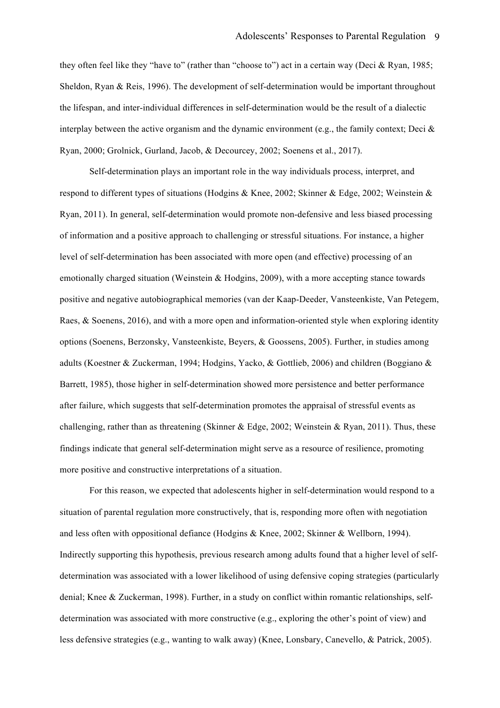they often feel like they "have to" (rather than "choose to") act in a certain way (Deci & Ryan, 1985; Sheldon, Ryan & Reis, 1996). The development of self-determination would be important throughout the lifespan, and inter-individual differences in self-determination would be the result of a dialectic interplay between the active organism and the dynamic environment (e.g., the family context; Deci  $\&$ Ryan, 2000; Grolnick, Gurland, Jacob, & Decourcey, 2002; Soenens et al., 2017).

Self-determination plays an important role in the way individuals process, interpret, and respond to different types of situations (Hodgins & Knee, 2002; Skinner & Edge, 2002; Weinstein & Ryan, 2011). In general, self-determination would promote non-defensive and less biased processing of information and a positive approach to challenging or stressful situations. For instance, a higher level of self-determination has been associated with more open (and effective) processing of an emotionally charged situation (Weinstein & Hodgins, 2009), with a more accepting stance towards positive and negative autobiographical memories (van der Kaap-Deeder, Vansteenkiste, Van Petegem, Raes, & Soenens, 2016), and with a more open and information-oriented style when exploring identity options (Soenens, Berzonsky, Vansteenkiste, Beyers, & Goossens, 2005). Further, in studies among adults (Koestner & Zuckerman, 1994; Hodgins, Yacko, & Gottlieb, 2006) and children (Boggiano & Barrett, 1985), those higher in self-determination showed more persistence and better performance after failure, which suggests that self-determination promotes the appraisal of stressful events as challenging, rather than as threatening (Skinner & Edge, 2002; Weinstein & Ryan, 2011). Thus, these findings indicate that general self-determination might serve as a resource of resilience, promoting more positive and constructive interpretations of a situation.

For this reason, we expected that adolescents higher in self-determination would respond to a situation of parental regulation more constructively, that is, responding more often with negotiation and less often with oppositional defiance (Hodgins & Knee, 2002; Skinner & Wellborn, 1994). Indirectly supporting this hypothesis, previous research among adults found that a higher level of selfdetermination was associated with a lower likelihood of using defensive coping strategies (particularly denial; Knee & Zuckerman, 1998). Further, in a study on conflict within romantic relationships, selfdetermination was associated with more constructive (e.g., exploring the other's point of view) and less defensive strategies (e.g., wanting to walk away) (Knee, Lonsbary, Canevello, & Patrick, 2005).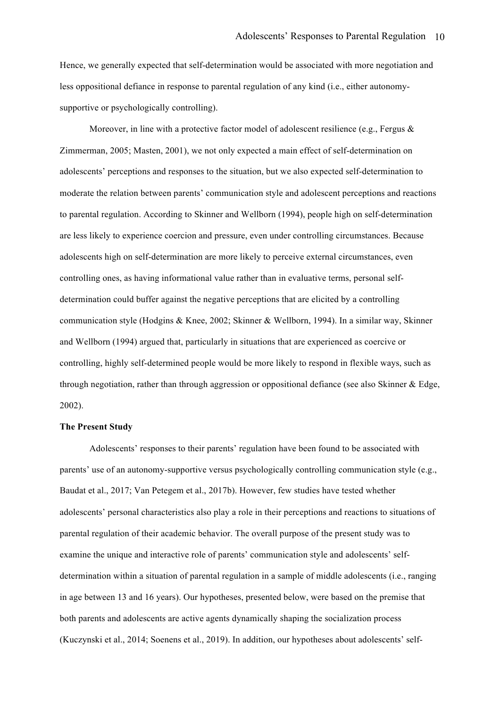Hence, we generally expected that self-determination would be associated with more negotiation and less oppositional defiance in response to parental regulation of any kind (i.e., either autonomysupportive or psychologically controlling).

Moreover, in line with a protective factor model of adolescent resilience (e.g., Fergus  $\&$ Zimmerman, 2005; Masten, 2001), we not only expected a main effect of self-determination on adolescents' perceptions and responses to the situation, but we also expected self-determination to moderate the relation between parents' communication style and adolescent perceptions and reactions to parental regulation. According to Skinner and Wellborn (1994), people high on self-determination are less likely to experience coercion and pressure, even under controlling circumstances. Because adolescents high on self-determination are more likely to perceive external circumstances, even controlling ones, as having informational value rather than in evaluative terms, personal selfdetermination could buffer against the negative perceptions that are elicited by a controlling communication style (Hodgins & Knee, 2002; Skinner & Wellborn, 1994). In a similar way, Skinner and Wellborn (1994) argued that, particularly in situations that are experienced as coercive or controlling, highly self-determined people would be more likely to respond in flexible ways, such as through negotiation, rather than through aggression or oppositional defiance (see also Skinner  $\&$  Edge, 2002).

# **The Present Study**

Adolescents' responses to their parents' regulation have been found to be associated with parents' use of an autonomy-supportive versus psychologically controlling communication style (e.g., Baudat et al., 2017; Van Petegem et al., 2017b). However, few studies have tested whether adolescents' personal characteristics also play a role in their perceptions and reactions to situations of parental regulation of their academic behavior. The overall purpose of the present study was to examine the unique and interactive role of parents' communication style and adolescents' selfdetermination within a situation of parental regulation in a sample of middle adolescents (i.e., ranging in age between 13 and 16 years). Our hypotheses, presented below, were based on the premise that both parents and adolescents are active agents dynamically shaping the socialization process (Kuczynski et al., 2014; Soenens et al., 2019). In addition, our hypotheses about adolescents' self-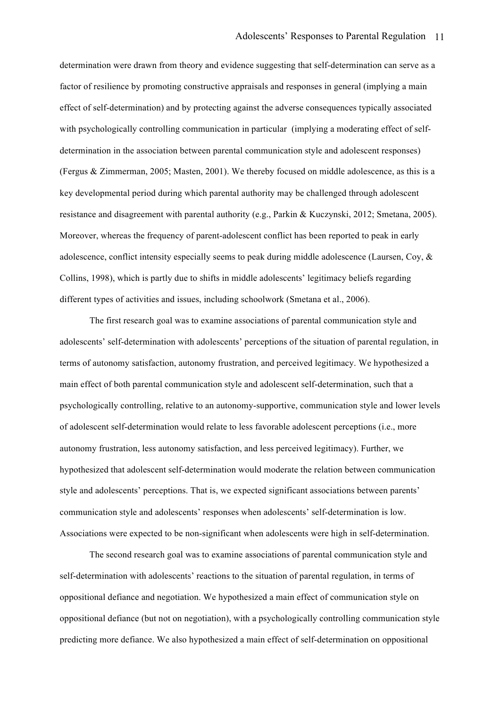determination were drawn from theory and evidence suggesting that self-determination can serve as a factor of resilience by promoting constructive appraisals and responses in general (implying a main effect of self-determination) and by protecting against the adverse consequences typically associated with psychologically controlling communication in particular (implying a moderating effect of selfdetermination in the association between parental communication style and adolescent responses) (Fergus & Zimmerman, 2005; Masten, 2001). We thereby focused on middle adolescence, as this is a key developmental period during which parental authority may be challenged through adolescent resistance and disagreement with parental authority (e.g., Parkin & Kuczynski, 2012; Smetana, 2005). Moreover, whereas the frequency of parent-adolescent conflict has been reported to peak in early adolescence, conflict intensity especially seems to peak during middle adolescence (Laursen, Coy, & Collins, 1998), which is partly due to shifts in middle adolescents' legitimacy beliefs regarding different types of activities and issues, including schoolwork (Smetana et al., 2006).

The first research goal was to examine associations of parental communication style and adolescents' self-determination with adolescents' perceptions of the situation of parental regulation, in terms of autonomy satisfaction, autonomy frustration, and perceived legitimacy. We hypothesized a main effect of both parental communication style and adolescent self-determination, such that a psychologically controlling, relative to an autonomy-supportive, communication style and lower levels of adolescent self-determination would relate to less favorable adolescent perceptions (i.e., more autonomy frustration, less autonomy satisfaction, and less perceived legitimacy). Further, we hypothesized that adolescent self-determination would moderate the relation between communication style and adolescents' perceptions. That is, we expected significant associations between parents' communication style and adolescents' responses when adolescents' self-determination is low. Associations were expected to be non-significant when adolescents were high in self-determination.

The second research goal was to examine associations of parental communication style and self-determination with adolescents' reactions to the situation of parental regulation, in terms of oppositional defiance and negotiation. We hypothesized a main effect of communication style on oppositional defiance (but not on negotiation), with a psychologically controlling communication style predicting more defiance. We also hypothesized a main effect of self-determination on oppositional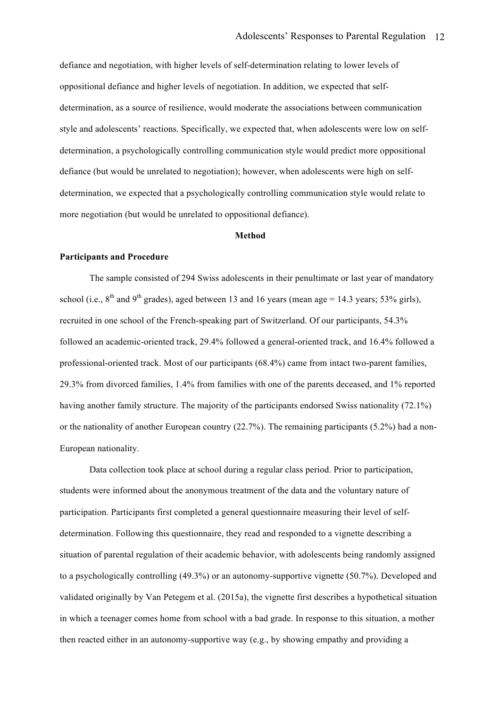defiance and negotiation, with higher levels of self-determination relating to lower levels of oppositional defiance and higher levels of negotiation. In addition, we expected that selfdetermination, as a source of resilience, would moderate the associations between communication style and adolescents' reactions. Specifically, we expected that, when adolescents were low on selfdetermination, a psychologically controlling communication style would predict more oppositional defiance (but would be unrelated to negotiation); however, when adolescents were high on selfdetermination, we expected that a psychologically controlling communication style would relate to more negotiation (but would be unrelated to oppositional defiance).

# **Method**

# **Participants and Procedure**

The sample consisted of 294 Swiss adolescents in their penultimate or last year of mandatory school (i.e.,  $8<sup>th</sup>$  and  $9<sup>th</sup>$  grades), aged between 13 and 16 years (mean age = 14.3 years; 53% girls), recruited in one school of the French-speaking part of Switzerland. Of our participants, 54.3% followed an academic-oriented track, 29.4% followed a general-oriented track, and 16.4% followed a professional-oriented track. Most of our participants (68.4%) came from intact two-parent families, 29.3% from divorced families, 1.4% from families with one of the parents deceased, and 1% reported having another family structure. The majority of the participants endorsed Swiss nationality (72.1%) or the nationality of another European country (22.7%). The remaining participants (5.2%) had a non-European nationality.

Data collection took place at school during a regular class period. Prior to participation, students were informed about the anonymous treatment of the data and the voluntary nature of participation. Participants first completed a general questionnaire measuring their level of selfdetermination. Following this questionnaire, they read and responded to a vignette describing a situation of parental regulation of their academic behavior, with adolescents being randomly assigned to a psychologically controlling (49.3%) or an autonomy-supportive vignette (50.7%). Developed and validated originally by Van Petegem et al. (2015a), the vignette first describes a hypothetical situation in which a teenager comes home from school with a bad grade. In response to this situation, a mother then reacted either in an autonomy-supportive way (e.g., by showing empathy and providing a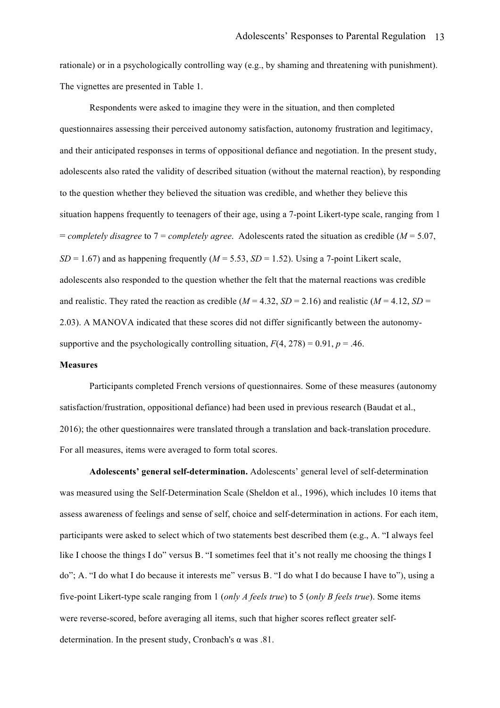rationale) or in a psychologically controlling way (e.g., by shaming and threatening with punishment). The vignettes are presented in Table 1.

Respondents were asked to imagine they were in the situation, and then completed questionnaires assessing their perceived autonomy satisfaction, autonomy frustration and legitimacy, and their anticipated responses in terms of oppositional defiance and negotiation. In the present study, adolescents also rated the validity of described situation (without the maternal reaction), by responding to the question whether they believed the situation was credible, and whether they believe this situation happens frequently to teenagers of their age, using a 7-point Likert-type scale, ranging from 1 = *completely disagree* to 7 = *completely agree*. Adolescents rated the situation as credible (*M* = 5.07,  $SD = 1.67$ ) and as happening frequently ( $M = 5.53$ ,  $SD = 1.52$ ). Using a 7-point Likert scale, adolescents also responded to the question whether the felt that the maternal reactions was credible and realistic. They rated the reaction as credible ( $M = 4.32$ ,  $SD = 2.16$ ) and realistic ( $M = 4.12$ ,  $SD = 2.16$ ) 2.03). A MANOVA indicated that these scores did not differ significantly between the autonomysupportive and the psychologically controlling situation,  $F(4, 278) = 0.91$ ,  $p = .46$ .

# **Measures**

Participants completed French versions of questionnaires. Some of these measures (autonomy satisfaction/frustration, oppositional defiance) had been used in previous research (Baudat et al., 2016); the other questionnaires were translated through a translation and back-translation procedure. For all measures, items were averaged to form total scores.

**Adolescents' general self-determination.** Adolescents' general level of self-determination was measured using the Self-Determination Scale (Sheldon et al., 1996), which includes 10 items that assess awareness of feelings and sense of self, choice and self-determination in actions. For each item, participants were asked to select which of two statements best described them (e.g., A. "I always feel like I choose the things I do" versus B. "I sometimes feel that it's not really me choosing the things I do"; A. "I do what I do because it interests me" versus B. "I do what I do because I have to"), using a five-point Likert-type scale ranging from 1 (*only A feels true*) to 5 (*only B feels true*). Some items were reverse-scored, before averaging all items, such that higher scores reflect greater selfdetermination. In the present study, Cronbach's  $\alpha$  was .81.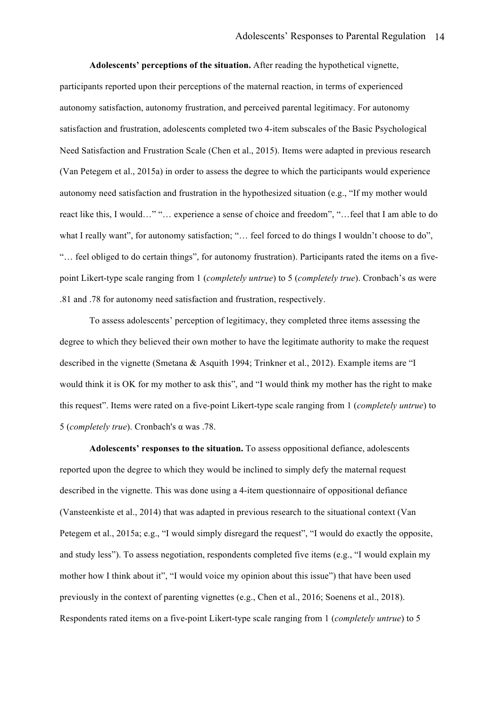**Adolescents' perceptions of the situation.** After reading the hypothetical vignette, participants reported upon their perceptions of the maternal reaction, in terms of experienced autonomy satisfaction, autonomy frustration, and perceived parental legitimacy. For autonomy satisfaction and frustration, adolescents completed two 4-item subscales of the Basic Psychological Need Satisfaction and Frustration Scale (Chen et al., 2015). Items were adapted in previous research (Van Petegem et al., 2015a) in order to assess the degree to which the participants would experience autonomy need satisfaction and frustration in the hypothesized situation (e.g., "If my mother would react like this, I would…" "… experience a sense of choice and freedom", "…feel that I am able to do what I really want", for autonomy satisfaction; "... feel forced to do things I wouldn't choose to do", "… feel obliged to do certain things", for autonomy frustration). Participants rated the items on a fivepoint Likert-type scale ranging from 1 (*completely untrue*) to 5 (*completely true*). Cronbach's αs were .81 and .78 for autonomy need satisfaction and frustration, respectively.

To assess adolescents' perception of legitimacy, they completed three items assessing the degree to which they believed their own mother to have the legitimate authority to make the request described in the vignette (Smetana & Asquith 1994; Trinkner et al., 2012). Example items are "I would think it is OK for my mother to ask this", and "I would think my mother has the right to make this request". Items were rated on a five-point Likert-type scale ranging from 1 (*completely untrue*) to 5 (*completely true*). Cronbach's α was .78.

**Adolescents' responses to the situation.** To assess oppositional defiance, adolescents reported upon the degree to which they would be inclined to simply defy the maternal request described in the vignette. This was done using a 4-item questionnaire of oppositional defiance (Vansteenkiste et al., 2014) that was adapted in previous research to the situational context (Van Petegem et al., 2015a; e.g., "I would simply disregard the request", "I would do exactly the opposite, and study less"). To assess negotiation, respondents completed five items (e.g., "I would explain my mother how I think about it", "I would voice my opinion about this issue") that have been used previously in the context of parenting vignettes (e.g., Chen et al., 2016; Soenens et al., 2018). Respondents rated items on a five-point Likert-type scale ranging from 1 (*completely untrue*) to 5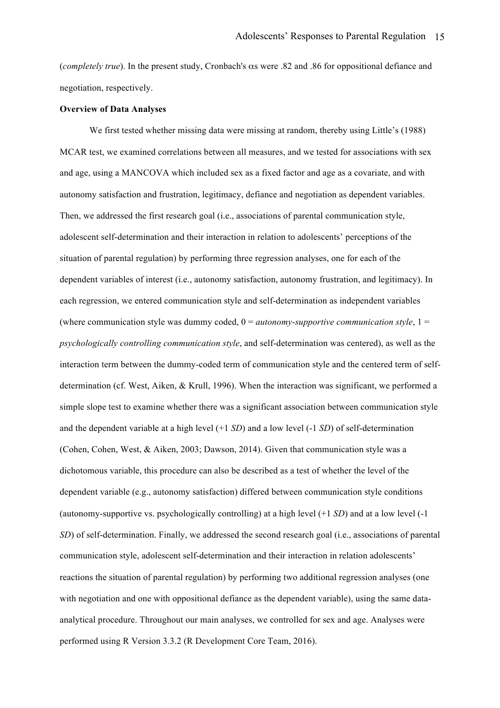(*completely true*). In the present study, Cronbach's αs were .82 and .86 for oppositional defiance and negotiation, respectively.

## **Overview of Data Analyses**

We first tested whether missing data were missing at random, thereby using Little's (1988) MCAR test, we examined correlations between all measures, and we tested for associations with sex and age, using a MANCOVA which included sex as a fixed factor and age as a covariate, and with autonomy satisfaction and frustration, legitimacy, defiance and negotiation as dependent variables. Then, we addressed the first research goal (i.e., associations of parental communication style, adolescent self-determination and their interaction in relation to adolescents' perceptions of the situation of parental regulation) by performing three regression analyses, one for each of the dependent variables of interest (i.e., autonomy satisfaction, autonomy frustration, and legitimacy). In each regression, we entered communication style and self-determination as independent variables (where communication style was dummy coded,  $0 =$  *autonomy-supportive communication style*,  $1 =$ *psychologically controlling communication style*, and self-determination was centered), as well as the interaction term between the dummy-coded term of communication style and the centered term of selfdetermination (cf. West, Aiken, & Krull, 1996). When the interaction was significant, we performed a simple slope test to examine whether there was a significant association between communication style and the dependent variable at a high level (+1 *SD*) and a low level (-1 *SD*) of self-determination (Cohen, Cohen, West, & Aiken, 2003; Dawson, 2014). Given that communication style was a dichotomous variable, this procedure can also be described as a test of whether the level of the dependent variable (e.g., autonomy satisfaction) differed between communication style conditions (autonomy-supportive vs. psychologically controlling) at a high level (+1 *SD*) and at a low level (-1 *SD*) of self-determination. Finally, we addressed the second research goal (i.e., associations of parental communication style, adolescent self-determination and their interaction in relation adolescents' reactions the situation of parental regulation) by performing two additional regression analyses (one with negotiation and one with oppositional defiance as the dependent variable), using the same dataanalytical procedure. Throughout our main analyses, we controlled for sex and age. Analyses were performed using R Version 3.3.2 (R Development Core Team, 2016).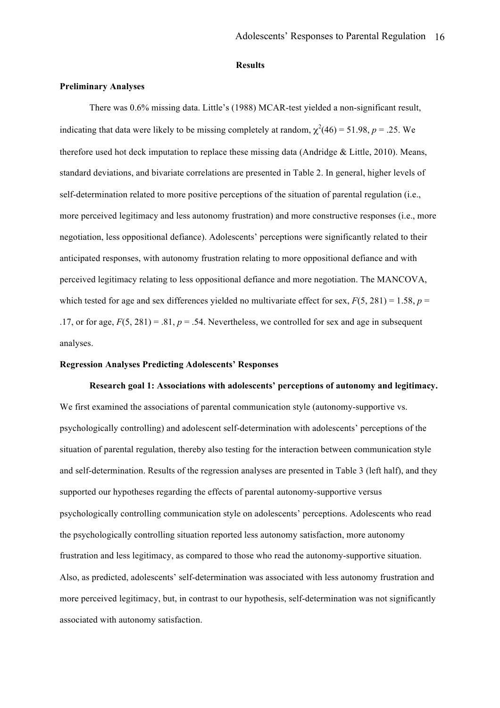# **Results**

# **Preliminary Analyses**

There was 0.6% missing data. Little's (1988) MCAR-test yielded a non-significant result, indicating that data were likely to be missing completely at random,  $\chi^2(46) = 51.98$ ,  $p = .25$ . We therefore used hot deck imputation to replace these missing data (Andridge & Little, 2010). Means, standard deviations, and bivariate correlations are presented in Table 2. In general, higher levels of self-determination related to more positive perceptions of the situation of parental regulation (i.e., more perceived legitimacy and less autonomy frustration) and more constructive responses (i.e., more negotiation, less oppositional defiance). Adolescents' perceptions were significantly related to their anticipated responses, with autonomy frustration relating to more oppositional defiance and with perceived legitimacy relating to less oppositional defiance and more negotiation. The MANCOVA, which tested for age and sex differences yielded no multivariate effect for sex,  $F(5, 281) = 1.58$ ,  $p =$ .17, or for age,  $F(5, 281) = .81$ ,  $p = .54$ . Nevertheless, we controlled for sex and age in subsequent analyses.

# **Regression Analyses Predicting Adolescents' Responses**

### **Research goal 1: Associations with adolescents' perceptions of autonomy and legitimacy.**

We first examined the associations of parental communication style (autonomy-supportive vs. psychologically controlling) and adolescent self-determination with adolescents' perceptions of the situation of parental regulation, thereby also testing for the interaction between communication style and self-determination. Results of the regression analyses are presented in Table 3 (left half), and they supported our hypotheses regarding the effects of parental autonomy-supportive versus psychologically controlling communication style on adolescents' perceptions. Adolescents who read the psychologically controlling situation reported less autonomy satisfaction, more autonomy frustration and less legitimacy, as compared to those who read the autonomy-supportive situation. Also, as predicted, adolescents' self-determination was associated with less autonomy frustration and more perceived legitimacy, but, in contrast to our hypothesis, self-determination was not significantly associated with autonomy satisfaction.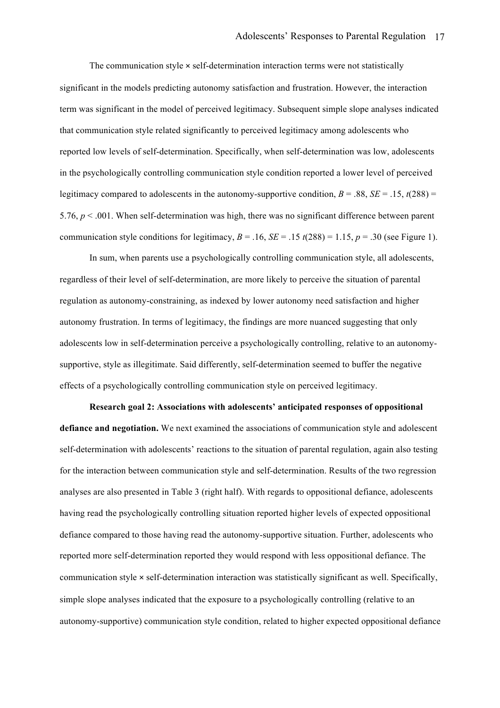The communication style  $\times$  self-determination interaction terms were not statistically significant in the models predicting autonomy satisfaction and frustration. However, the interaction term was significant in the model of perceived legitimacy. Subsequent simple slope analyses indicated that communication style related significantly to perceived legitimacy among adolescents who reported low levels of self-determination. Specifically, when self-determination was low, adolescents in the psychologically controlling communication style condition reported a lower level of perceived legitimacy compared to adolescents in the autonomy-supportive condition,  $B = .88$ ,  $SE = .15$ ,  $t(288) =$ 5.76, *p* < .001. When self-determination was high, there was no significant difference between parent communication style conditions for legitimacy,  $B = .16$ ,  $SE = .15$   $t(288) = 1.15$ ,  $p = .30$  (see Figure 1).

In sum, when parents use a psychologically controlling communication style, all adolescents, regardless of their level of self-determination, are more likely to perceive the situation of parental regulation as autonomy-constraining, as indexed by lower autonomy need satisfaction and higher autonomy frustration. In terms of legitimacy, the findings are more nuanced suggesting that only adolescents low in self-determination perceive a psychologically controlling, relative to an autonomysupportive, style as illegitimate. Said differently, self-determination seemed to buffer the negative effects of a psychologically controlling communication style on perceived legitimacy.

**Research goal 2: Associations with adolescents' anticipated responses of oppositional defiance and negotiation.** We next examined the associations of communication style and adolescent self-determination with adolescents' reactions to the situation of parental regulation, again also testing for the interaction between communication style and self-determination. Results of the two regression analyses are also presented in Table 3 (right half). With regards to oppositional defiance, adolescents having read the psychologically controlling situation reported higher levels of expected oppositional defiance compared to those having read the autonomy-supportive situation. Further, adolescents who reported more self-determination reported they would respond with less oppositional defiance. The communication style × self-determination interaction was statistically significant as well. Specifically, simple slope analyses indicated that the exposure to a psychologically controlling (relative to an autonomy-supportive) communication style condition, related to higher expected oppositional defiance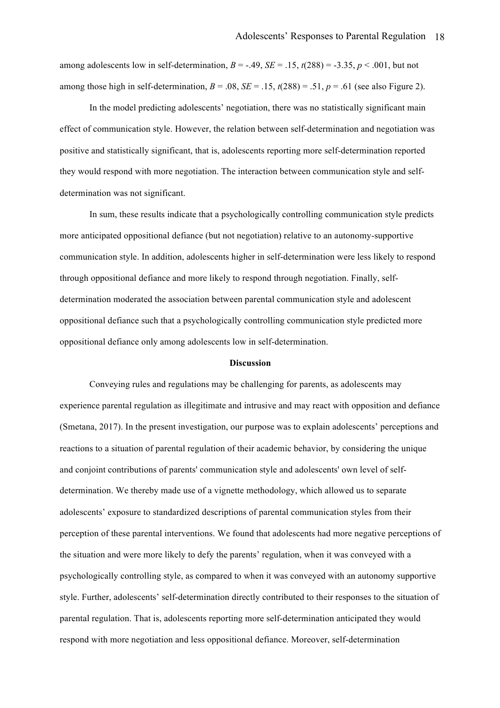among adolescents low in self-determination,  $B = -.49$ ,  $SE = .15$ ,  $t(288) = .3.35$ ,  $p < .001$ , but not among those high in self-determination,  $B = .08$ ,  $SE = .15$ ,  $t(288) = .51$ ,  $p = .61$  (see also Figure 2).

In the model predicting adolescents' negotiation, there was no statistically significant main effect of communication style. However, the relation between self-determination and negotiation was positive and statistically significant, that is, adolescents reporting more self-determination reported they would respond with more negotiation. The interaction between communication style and selfdetermination was not significant.

In sum, these results indicate that a psychologically controlling communication style predicts more anticipated oppositional defiance (but not negotiation) relative to an autonomy-supportive communication style. In addition, adolescents higher in self-determination were less likely to respond through oppositional defiance and more likely to respond through negotiation. Finally, selfdetermination moderated the association between parental communication style and adolescent oppositional defiance such that a psychologically controlling communication style predicted more oppositional defiance only among adolescents low in self-determination.

#### **Discussion**

Conveying rules and regulations may be challenging for parents, as adolescents may experience parental regulation as illegitimate and intrusive and may react with opposition and defiance (Smetana, 2017). In the present investigation, our purpose was to explain adolescents' perceptions and reactions to a situation of parental regulation of their academic behavior, by considering the unique and conjoint contributions of parents' communication style and adolescents' own level of selfdetermination. We thereby made use of a vignette methodology, which allowed us to separate adolescents' exposure to standardized descriptions of parental communication styles from their perception of these parental interventions. We found that adolescents had more negative perceptions of the situation and were more likely to defy the parents' regulation, when it was conveyed with a psychologically controlling style, as compared to when it was conveyed with an autonomy supportive style. Further, adolescents' self-determination directly contributed to their responses to the situation of parental regulation. That is, adolescents reporting more self-determination anticipated they would respond with more negotiation and less oppositional defiance. Moreover, self-determination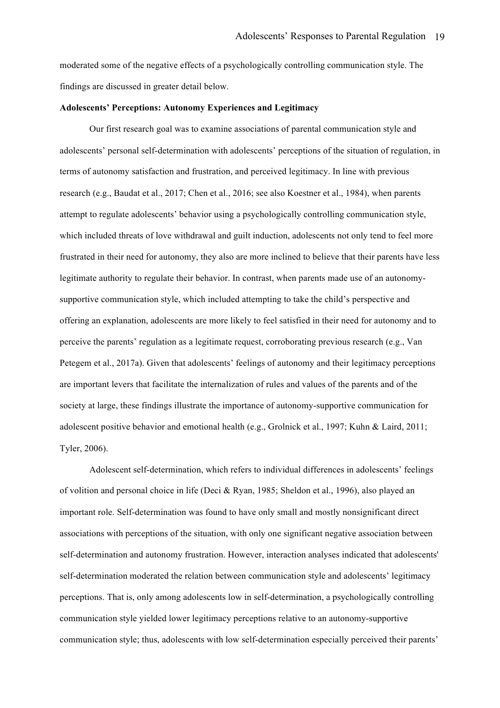moderated some of the negative effects of a psychologically controlling communication style. The findings are discussed in greater detail below.

# **Adolescents' Perceptions: Autonomy Experiences and Legitimacy**

Our first research goal was to examine associations of parental communication style and adolescents' personal self-determination with adolescents' perceptions of the situation of regulation, in terms of autonomy satisfaction and frustration, and perceived legitimacy. In line with previous research (e.g., Baudat et al., 2017; Chen et al., 2016; see also Koestner et al., 1984), when parents attempt to regulate adolescents' behavior using a psychologically controlling communication style, which included threats of love withdrawal and guilt induction, adolescents not only tend to feel more frustrated in their need for autonomy, they also are more inclined to believe that their parents have less legitimate authority to regulate their behavior. In contrast, when parents made use of an autonomysupportive communication style, which included attempting to take the child's perspective and offering an explanation, adolescents are more likely to feel satisfied in their need for autonomy and to perceive the parents' regulation as a legitimate request, corroborating previous research (e.g., Van Petegem et al., 2017a). Given that adolescents' feelings of autonomy and their legitimacy perceptions are important levers that facilitate the internalization of rules and values of the parents and of the society at large, these findings illustrate the importance of autonomy-supportive communication for adolescent positive behavior and emotional health (e.g., Grolnick et al., 1997; Kuhn & Laird, 2011; Tyler, 2006).

Adolescent self-determination, which refers to individual differences in adolescents' feelings of volition and personal choice in life (Deci & Ryan, 1985; Sheldon et al., 1996), also played an important role. Self-determination was found to have only small and mostly nonsignificant direct associations with perceptions of the situation, with only one significant negative association between self-determination and autonomy frustration. However, interaction analyses indicated that adolescents' self-determination moderated the relation between communication style and adolescents' legitimacy perceptions. That is, only among adolescents low in self-determination, a psychologically controlling communication style yielded lower legitimacy perceptions relative to an autonomy-supportive communication style; thus, adolescents with low self-determination especially perceived their parents'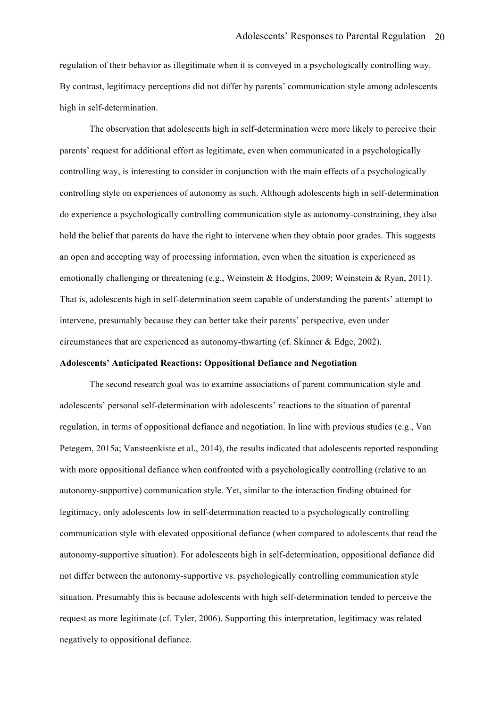regulation of their behavior as illegitimate when it is conveyed in a psychologically controlling way. By contrast, legitimacy perceptions did not differ by parents' communication style among adolescents high in self-determination.

The observation that adolescents high in self-determination were more likely to perceive their parents' request for additional effort as legitimate, even when communicated in a psychologically controlling way, is interesting to consider in conjunction with the main effects of a psychologically controlling style on experiences of autonomy as such. Although adolescents high in self-determination do experience a psychologically controlling communication style as autonomy-constraining, they also hold the belief that parents do have the right to intervene when they obtain poor grades. This suggests an open and accepting way of processing information, even when the situation is experienced as emotionally challenging or threatening (e.g., Weinstein & Hodgins, 2009; Weinstein & Ryan, 2011). That is, adolescents high in self-determination seem capable of understanding the parents' attempt to intervene, presumably because they can better take their parents' perspective, even under circumstances that are experienced as autonomy-thwarting (cf. Skinner & Edge, 2002).

# **Adolescents' Anticipated Reactions: Oppositional Defiance and Negotiation**

The second research goal was to examine associations of parent communication style and adolescents' personal self-determination with adolescents' reactions to the situation of parental regulation, in terms of oppositional defiance and negotiation. In line with previous studies (e.g., Van Petegem, 2015a; Vansteenkiste et al., 2014), the results indicated that adolescents reported responding with more oppositional defiance when confronted with a psychologically controlling (relative to an autonomy-supportive) communication style. Yet, similar to the interaction finding obtained for legitimacy, only adolescents low in self-determination reacted to a psychologically controlling communication style with elevated oppositional defiance (when compared to adolescents that read the autonomy-supportive situation). For adolescents high in self-determination, oppositional defiance did not differ between the autonomy-supportive vs. psychologically controlling communication style situation. Presumably this is because adolescents with high self-determination tended to perceive the request as more legitimate (cf. Tyler, 2006). Supporting this interpretation, legitimacy was related negatively to oppositional defiance.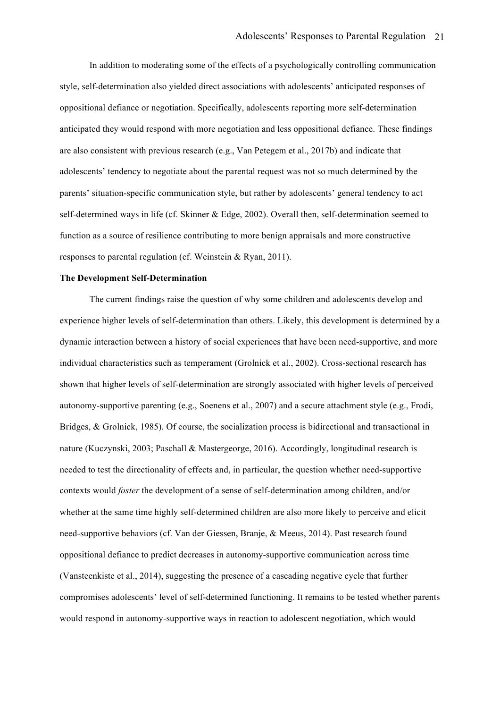In addition to moderating some of the effects of a psychologically controlling communication style, self-determination also yielded direct associations with adolescents' anticipated responses of oppositional defiance or negotiation. Specifically, adolescents reporting more self-determination anticipated they would respond with more negotiation and less oppositional defiance. These findings are also consistent with previous research (e.g., Van Petegem et al., 2017b) and indicate that adolescents' tendency to negotiate about the parental request was not so much determined by the parents' situation-specific communication style, but rather by adolescents' general tendency to act self-determined ways in life (cf. Skinner & Edge, 2002). Overall then, self-determination seemed to function as a source of resilience contributing to more benign appraisals and more constructive responses to parental regulation (cf. Weinstein & Ryan, 2011).

#### **The Development Self-Determination**

The current findings raise the question of why some children and adolescents develop and experience higher levels of self-determination than others. Likely, this development is determined by a dynamic interaction between a history of social experiences that have been need-supportive, and more individual characteristics such as temperament (Grolnick et al., 2002). Cross-sectional research has shown that higher levels of self-determination are strongly associated with higher levels of perceived autonomy-supportive parenting (e.g., Soenens et al., 2007) and a secure attachment style (e.g., Frodi, Bridges, & Grolnick, 1985). Of course, the socialization process is bidirectional and transactional in nature (Kuczynski, 2003; Paschall & Mastergeorge, 2016). Accordingly, longitudinal research is needed to test the directionality of effects and, in particular, the question whether need-supportive contexts would *foster* the development of a sense of self-determination among children, and/or whether at the same time highly self-determined children are also more likely to perceive and elicit need-supportive behaviors (cf. Van der Giessen, Branje, & Meeus, 2014). Past research found oppositional defiance to predict decreases in autonomy-supportive communication across time (Vansteenkiste et al., 2014), suggesting the presence of a cascading negative cycle that further compromises adolescents' level of self-determined functioning. It remains to be tested whether parents would respond in autonomy-supportive ways in reaction to adolescent negotiation, which would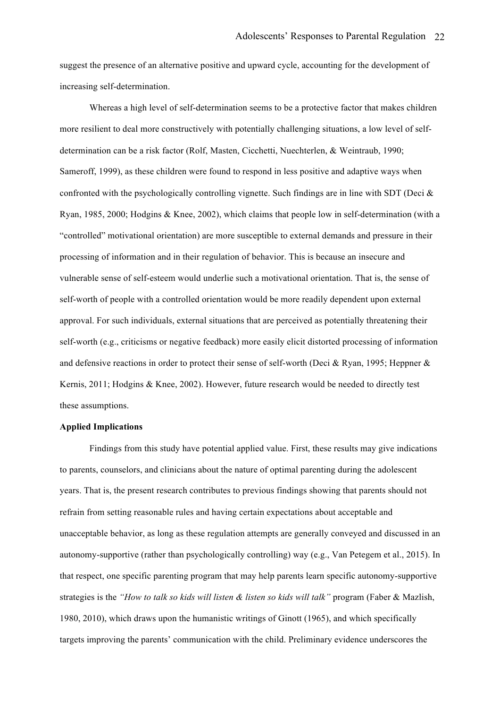suggest the presence of an alternative positive and upward cycle, accounting for the development of increasing self-determination.

Whereas a high level of self-determination seems to be a protective factor that makes children more resilient to deal more constructively with potentially challenging situations, a low level of selfdetermination can be a risk factor (Rolf, Masten, Cicchetti, Nuechterlen, & Weintraub, 1990; Sameroff, 1999), as these children were found to respond in less positive and adaptive ways when confronted with the psychologically controlling vignette. Such findings are in line with SDT (Deci & Ryan, 1985, 2000; Hodgins & Knee, 2002), which claims that people low in self-determination (with a "controlled" motivational orientation) are more susceptible to external demands and pressure in their processing of information and in their regulation of behavior. This is because an insecure and vulnerable sense of self-esteem would underlie such a motivational orientation. That is, the sense of self-worth of people with a controlled orientation would be more readily dependent upon external approval. For such individuals, external situations that are perceived as potentially threatening their self-worth (e.g., criticisms or negative feedback) more easily elicit distorted processing of information and defensive reactions in order to protect their sense of self-worth (Deci & Ryan, 1995; Heppner  $\&$ Kernis, 2011; Hodgins & Knee, 2002). However, future research would be needed to directly test these assumptions.

# **Applied Implications**

Findings from this study have potential applied value. First, these results may give indications to parents, counselors, and clinicians about the nature of optimal parenting during the adolescent years. That is, the present research contributes to previous findings showing that parents should not refrain from setting reasonable rules and having certain expectations about acceptable and unacceptable behavior, as long as these regulation attempts are generally conveyed and discussed in an autonomy-supportive (rather than psychologically controlling) way (e.g., Van Petegem et al., 2015). In that respect, one specific parenting program that may help parents learn specific autonomy-supportive strategies is the *"How to talk so kids will listen & listen so kids will talk"* program (Faber & Mazlish, 1980, 2010), which draws upon the humanistic writings of Ginott (1965), and which specifically targets improving the parents' communication with the child. Preliminary evidence underscores the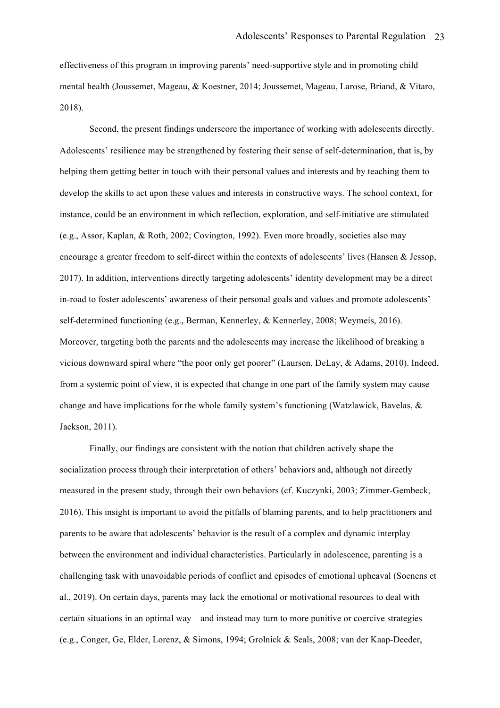effectiveness of this program in improving parents' need-supportive style and in promoting child mental health (Joussemet, Mageau, & Koestner, 2014; Joussemet, Mageau, Larose, Briand, & Vitaro, 2018).

Second, the present findings underscore the importance of working with adolescents directly. Adolescents' resilience may be strengthened by fostering their sense of self-determination, that is, by helping them getting better in touch with their personal values and interests and by teaching them to develop the skills to act upon these values and interests in constructive ways. The school context, for instance, could be an environment in which reflection, exploration, and self-initiative are stimulated (e.g., Assor, Kaplan, & Roth, 2002; Covington, 1992). Even more broadly, societies also may encourage a greater freedom to self-direct within the contexts of adolescents' lives (Hansen & Jessop, 2017). In addition, interventions directly targeting adolescents' identity development may be a direct in-road to foster adolescents' awareness of their personal goals and values and promote adolescents' self-determined functioning (e.g., Berman, Kennerley, & Kennerley, 2008; Weymeis, 2016). Moreover, targeting both the parents and the adolescents may increase the likelihood of breaking a vicious downward spiral where "the poor only get poorer" (Laursen, DeLay, & Adams, 2010). Indeed, from a systemic point of view, it is expected that change in one part of the family system may cause change and have implications for the whole family system's functioning (Watzlawick, Bavelas, & Jackson, 2011).

Finally, our findings are consistent with the notion that children actively shape the socialization process through their interpretation of others' behaviors and, although not directly measured in the present study, through their own behaviors (cf. Kuczynki, 2003; Zimmer-Gembeck, 2016). This insight is important to avoid the pitfalls of blaming parents, and to help practitioners and parents to be aware that adolescents' behavior is the result of a complex and dynamic interplay between the environment and individual characteristics. Particularly in adolescence, parenting is a challenging task with unavoidable periods of conflict and episodes of emotional upheaval (Soenens et al., 2019). On certain days, parents may lack the emotional or motivational resources to deal with certain situations in an optimal way – and instead may turn to more punitive or coercive strategies (e.g., Conger, Ge, Elder, Lorenz, & Simons, 1994; Grolnick & Seals, 2008; van der Kaap-Deeder,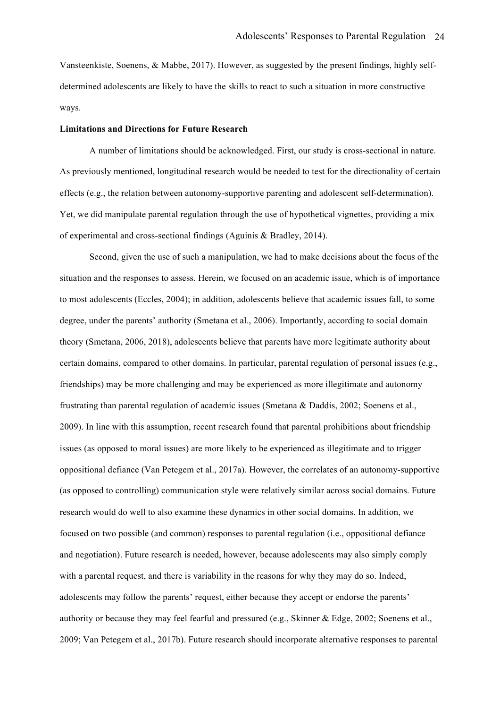Vansteenkiste, Soenens, & Mabbe, 2017). However, as suggested by the present findings, highly selfdetermined adolescents are likely to have the skills to react to such a situation in more constructive ways.

#### **Limitations and Directions for Future Research**

A number of limitations should be acknowledged. First, our study is cross-sectional in nature. As previously mentioned, longitudinal research would be needed to test for the directionality of certain effects (e.g., the relation between autonomy-supportive parenting and adolescent self-determination). Yet, we did manipulate parental regulation through the use of hypothetical vignettes, providing a mix of experimental and cross-sectional findings (Aguinis & Bradley, 2014).

Second, given the use of such a manipulation, we had to make decisions about the focus of the situation and the responses to assess. Herein, we focused on an academic issue, which is of importance to most adolescents (Eccles, 2004); in addition, adolescents believe that academic issues fall, to some degree, under the parents' authority (Smetana et al., 2006). Importantly, according to social domain theory (Smetana, 2006, 2018), adolescents believe that parents have more legitimate authority about certain domains, compared to other domains. In particular, parental regulation of personal issues (e.g., friendships) may be more challenging and may be experienced as more illegitimate and autonomy frustrating than parental regulation of academic issues (Smetana & Daddis, 2002; Soenens et al., 2009). In line with this assumption, recent research found that parental prohibitions about friendship issues (as opposed to moral issues) are more likely to be experienced as illegitimate and to trigger oppositional defiance (Van Petegem et al., 2017a). However, the correlates of an autonomy-supportive (as opposed to controlling) communication style were relatively similar across social domains. Future research would do well to also examine these dynamics in other social domains. In addition, we focused on two possible (and common) responses to parental regulation (i.e., oppositional defiance and negotiation). Future research is needed, however, because adolescents may also simply comply with a parental request, and there is variability in the reasons for why they may do so. Indeed, adolescents may follow the parents' request, either because they accept or endorse the parents' authority or because they may feel fearful and pressured (e.g., Skinner & Edge, 2002; Soenens et al., 2009; Van Petegem et al., 2017b). Future research should incorporate alternative responses to parental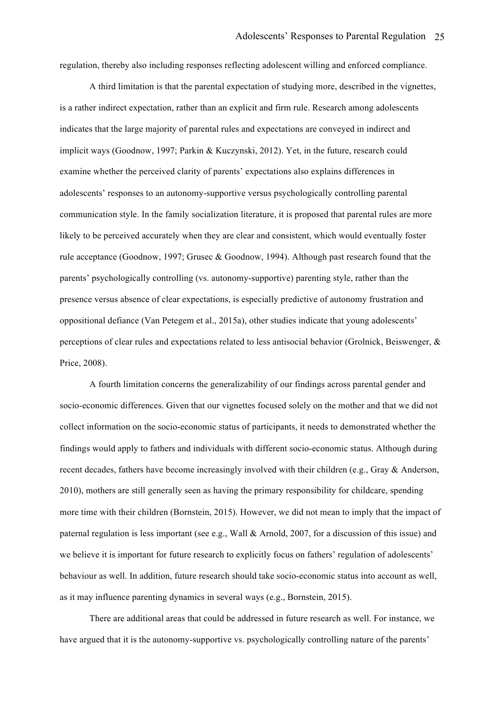regulation, thereby also including responses reflecting adolescent willing and enforced compliance.

A third limitation is that the parental expectation of studying more, described in the vignettes, is a rather indirect expectation, rather than an explicit and firm rule. Research among adolescents indicates that the large majority of parental rules and expectations are conveyed in indirect and implicit ways (Goodnow, 1997; Parkin & Kuczynski, 2012). Yet, in the future, research could examine whether the perceived clarity of parents' expectations also explains differences in adolescents' responses to an autonomy-supportive versus psychologically controlling parental communication style. In the family socialization literature, it is proposed that parental rules are more likely to be perceived accurately when they are clear and consistent, which would eventually foster rule acceptance (Goodnow, 1997; Grusec & Goodnow, 1994). Although past research found that the parents' psychologically controlling (vs. autonomy-supportive) parenting style, rather than the presence versus absence of clear expectations, is especially predictive of autonomy frustration and oppositional defiance (Van Petegem et al., 2015a), other studies indicate that young adolescents' perceptions of clear rules and expectations related to less antisocial behavior (Grolnick, Beiswenger, & Price, 2008).

A fourth limitation concerns the generalizability of our findings across parental gender and socio-economic differences. Given that our vignettes focused solely on the mother and that we did not collect information on the socio-economic status of participants, it needs to demonstrated whether the findings would apply to fathers and individuals with different socio-economic status. Although during recent decades, fathers have become increasingly involved with their children (e.g., Gray & Anderson, 2010), mothers are still generally seen as having the primary responsibility for childcare, spending more time with their children (Bornstein, 2015). However, we did not mean to imply that the impact of paternal regulation is less important (see e.g., Wall & Arnold, 2007, for a discussion of this issue) and we believe it is important for future research to explicitly focus on fathers' regulation of adolescents' behaviour as well. In addition, future research should take socio-economic status into account as well, as it may influence parenting dynamics in several ways (e.g., Bornstein, 2015).

There are additional areas that could be addressed in future research as well. For instance, we have argued that it is the autonomy-supportive vs. psychologically controlling nature of the parents'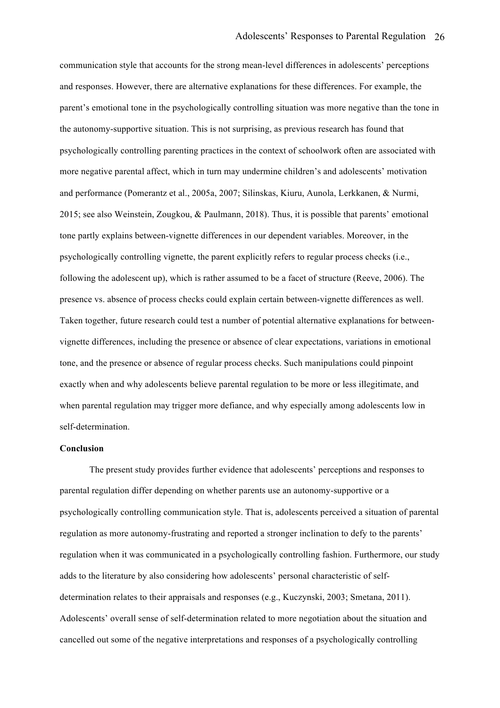communication style that accounts for the strong mean-level differences in adolescents' perceptions and responses. However, there are alternative explanations for these differences. For example, the parent's emotional tone in the psychologically controlling situation was more negative than the tone in the autonomy-supportive situation. This is not surprising, as previous research has found that psychologically controlling parenting practices in the context of schoolwork often are associated with more negative parental affect, which in turn may undermine children's and adolescents' motivation and performance (Pomerantz et al., 2005a, 2007; Silinskas, Kiuru, Aunola, Lerkkanen, & Nurmi, 2015; see also Weinstein, Zougkou, & Paulmann, 2018). Thus, it is possible that parents' emotional tone partly explains between-vignette differences in our dependent variables. Moreover, in the psychologically controlling vignette, the parent explicitly refers to regular process checks (i.e., following the adolescent up), which is rather assumed to be a facet of structure (Reeve, 2006). The presence vs. absence of process checks could explain certain between-vignette differences as well. Taken together, future research could test a number of potential alternative explanations for betweenvignette differences, including the presence or absence of clear expectations, variations in emotional tone, and the presence or absence of regular process checks. Such manipulations could pinpoint exactly when and why adolescents believe parental regulation to be more or less illegitimate, and when parental regulation may trigger more defiance, and why especially among adolescents low in self-determination.

# **Conclusion**

The present study provides further evidence that adolescents' perceptions and responses to parental regulation differ depending on whether parents use an autonomy-supportive or a psychologically controlling communication style. That is, adolescents perceived a situation of parental regulation as more autonomy-frustrating and reported a stronger inclination to defy to the parents' regulation when it was communicated in a psychologically controlling fashion. Furthermore, our study adds to the literature by also considering how adolescents' personal characteristic of selfdetermination relates to their appraisals and responses (e.g., Kuczynski, 2003; Smetana, 2011). Adolescents' overall sense of self-determination related to more negotiation about the situation and cancelled out some of the negative interpretations and responses of a psychologically controlling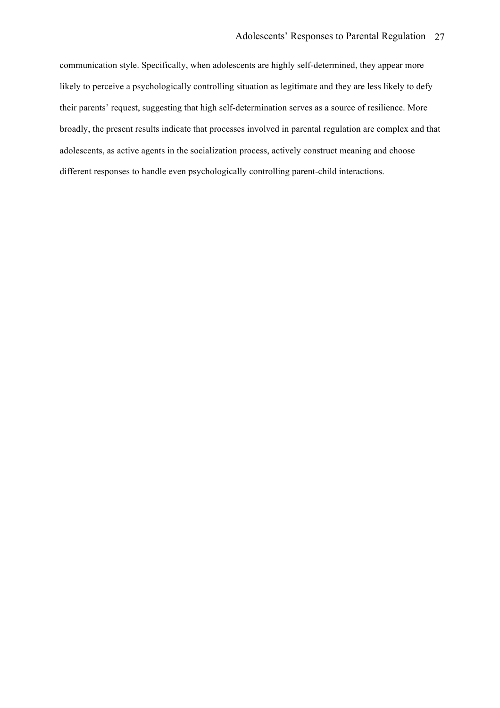communication style. Specifically, when adolescents are highly self-determined, they appear more likely to perceive a psychologically controlling situation as legitimate and they are less likely to defy their parents' request, suggesting that high self-determination serves as a source of resilience. More broadly, the present results indicate that processes involved in parental regulation are complex and that adolescents, as active agents in the socialization process, actively construct meaning and choose different responses to handle even psychologically controlling parent-child interactions.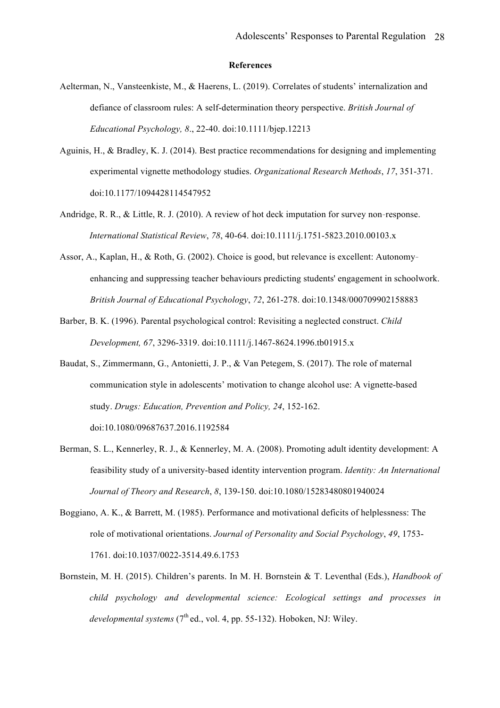#### **References**

- Aelterman, N., Vansteenkiste, M., & Haerens, L. (2019). Correlates of students' internalization and defiance of classroom rules: A self-determination theory perspective. *British Journal of Educational Psychology, 8*., 22-40. doi:10.1111/bjep.12213
- Aguinis, H., & Bradley, K. J. (2014). Best practice recommendations for designing and implementing experimental vignette methodology studies. *Organizational Research Methods*, *17*, 351-371. doi:10.1177/1094428114547952
- Andridge, R. R., & Little, R. J. (2010). A review of hot deck imputation for survey non-response. *International Statistical Review*, *78*, 40-64. doi:10.1111/j.1751-5823.2010.00103.x
- Assor, A., Kaplan, H., & Roth, G. (2002). Choice is good, but relevance is excellent: Autonomy‐ enhancing and suppressing teacher behaviours predicting students' engagement in schoolwork. *British Journal of Educational Psychology*, *72*, 261-278. doi:10.1348/000709902158883
- Barber, B. K. (1996). Parental psychological control: Revisiting a neglected construct. *Child Development, 67*, 3296-3319. doi:10.1111/j.1467-8624.1996.tb01915.x
- Baudat, S., Zimmermann, G., Antonietti, J. P., & Van Petegem, S. (2017). The role of maternal communication style in adolescents' motivation to change alcohol use: A vignette-based study. *Drugs: Education, Prevention and Policy, 24*, 152-162.

doi:10.1080/09687637.2016.1192584

- Berman, S. L., Kennerley, R. J., & Kennerley, M. A. (2008). Promoting adult identity development: A feasibility study of a university-based identity intervention program. *Identity: An International Journal of Theory and Research*, *8*, 139-150. doi:10.1080/15283480801940024
- Boggiano, A. K., & Barrett, M. (1985). Performance and motivational deficits of helplessness: The role of motivational orientations. *Journal of Personality and Social Psychology*, *49*, 1753- 1761. doi:10.1037/0022-3514.49.6.1753
- Bornstein, M. H. (2015). Children's parents. In M. H. Bornstein & T. Leventhal (Eds.), *Handbook of child psychology and developmental science: Ecological settings and processes in developmental systems*  $(7<sup>th</sup>$ ed., vol. 4, pp. 55-132). Hoboken, NJ: Wiley.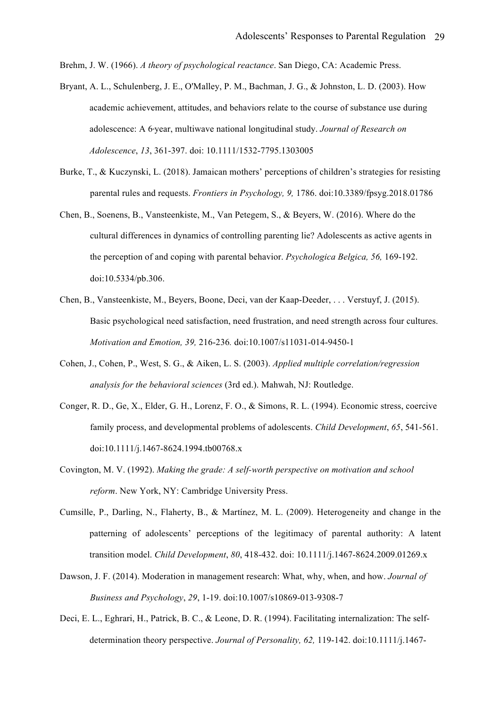Brehm, J. W. (1966). *A theory of psychological reactance*. San Diego, CA: Academic Press.

- Bryant, A. L., Schulenberg, J. E., O'Malley, P. M., Bachman, J. G., & Johnston, L. D. (2003). How academic achievement, attitudes, and behaviors relate to the course of substance use during adolescence: A 6‐year, multiwave national longitudinal study. *Journal of Research on Adolescence*, *13*, 361-397. doi: 10.1111/1532-7795.1303005
- Burke, T., & Kuczynski, L. (2018). Jamaican mothers' perceptions of children's strategies for resisting parental rules and requests. *Frontiers in Psychology, 9,* 1786. doi:10.3389/fpsyg.2018.01786
- Chen, B., Soenens, B., Vansteenkiste, M., Van Petegem, S., & Beyers, W. (2016). Where do the cultural differences in dynamics of controlling parenting lie? Adolescents as active agents in the perception of and coping with parental behavior. *Psychologica Belgica, 56,* 169-192. doi:10.5334/pb.306.
- Chen, B., Vansteenkiste, M., Beyers, Boone, Deci, van der Kaap-Deeder, . . . Verstuyf, J. (2015). Basic psychological need satisfaction, need frustration, and need strength across four cultures. *Motivation and Emotion, 39,* 216-236*.* doi:10.1007/s11031-014-9450-1
- Cohen, J., Cohen, P., West, S. G., & Aiken, L. S. (2003). *Applied multiple correlation/regression analysis for the behavioral sciences* (3rd ed.). Mahwah, NJ: Routledge.
- Conger, R. D., Ge, X., Elder, G. H., Lorenz, F. O., & Simons, R. L. (1994). Economic stress, coercive family process, and developmental problems of adolescents. *Child Development*, *65*, 541-561. doi:10.1111/j.1467-8624.1994.tb00768.x
- Covington, M. V. (1992). *Making the grade: A self-worth perspective on motivation and school reform*. New York, NY: Cambridge University Press.
- Cumsille, P., Darling, N., Flaherty, B., & Martínez, M. L. (2009). Heterogeneity and change in the patterning of adolescents' perceptions of the legitimacy of parental authority: A latent transition model. *Child Development*, *80*, 418-432. doi: 10.1111/j.1467-8624.2009.01269.x
- Dawson, J. F. (2014). Moderation in management research: What, why, when, and how. *Journal of Business and Psychology*, *29*, 1-19. doi:10.1007/s10869-013-9308-7
- Deci, E. L., Eghrari, H., Patrick, B. C., & Leone, D. R. (1994). Facilitating internalization: The selfdetermination theory perspective. *Journal of Personality, 62,* 119-142. doi:10.1111/j.1467-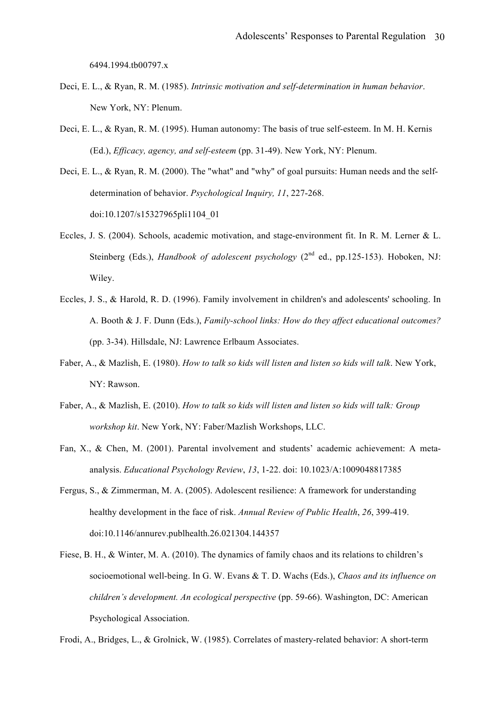6494.1994.tb00797.x

- Deci, E. L., & Ryan, R. M. (1985). *Intrinsic motivation and self-determination in human behavior*. New York, NY: Plenum.
- Deci, E. L., & Ryan, R. M. (1995). Human autonomy: The basis of true self-esteem. In M. H. Kernis (Ed.), *Efficacy, agency, and self-esteem* (pp. 31-49). New York, NY: Plenum.
- Deci, E. L., & Ryan, R. M. (2000). The "what" and "why" of goal pursuits: Human needs and the selfdetermination of behavior. *Psychological Inquiry, 11*, 227-268. doi:10.1207/s15327965pli1104\_01
- Eccles, J. S. (2004). Schools, academic motivation, and stage-environment fit. In R. M. Lerner & L. Steinberg (Eds.), *Handbook of adolescent psychology* (2<sup>nd</sup> ed., pp.125-153). Hoboken, NJ: Wiley.
- Eccles, J. S., & Harold, R. D. (1996). Family involvement in children's and adolescents' schooling. In A. Booth & J. F. Dunn (Eds.), *Family-school links: How do they affect educational outcomes?* (pp. 3-34). Hillsdale, NJ: Lawrence Erlbaum Associates.
- Faber, A., & Mazlish, E. (1980). *How to talk so kids will listen and listen so kids will talk*. New York, NY: Rawson.
- Faber, A., & Mazlish, E. (2010). *How to talk so kids will listen and listen so kids will talk: Group workshop kit*. New York, NY: Faber/Mazlish Workshops, LLC.
- Fan, X., & Chen, M. (2001). Parental involvement and students' academic achievement: A metaanalysis. *Educational Psychology Review*, *13*, 1-22. doi: 10.1023/A:1009048817385
- Fergus, S., & Zimmerman, M. A. (2005). Adolescent resilience: A framework for understanding healthy development in the face of risk. *Annual Review of Public Health*, *26*, 399-419. doi:10.1146/annurev.publhealth.26.021304.144357
- Fiese, B. H., & Winter, M. A. (2010). The dynamics of family chaos and its relations to children's socioemotional well-being. In G. W. Evans & T. D. Wachs (Eds.), *Chaos and its influence on children's development. An ecological perspective* (pp. 59-66). Washington, DC: American Psychological Association.

Frodi, A., Bridges, L., & Grolnick, W. (1985). Correlates of mastery-related behavior: A short-term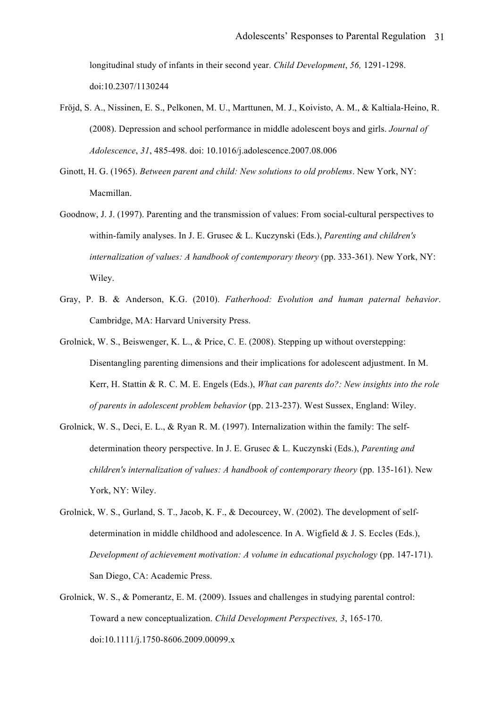longitudinal study of infants in their second year. *Child Development*, *56,* 1291-1298. doi:10.2307/1130244

- Fröjd, S. A., Nissinen, E. S., Pelkonen, M. U., Marttunen, M. J., Koivisto, A. M., & Kaltiala-Heino, R. (2008). Depression and school performance in middle adolescent boys and girls. *Journal of Adolescence*, *31*, 485-498. doi: 10.1016/j.adolescence.2007.08.006
- Ginott, H. G. (1965). *Between parent and child: New solutions to old problems*. New York, NY: Macmillan.
- Goodnow, J. J. (1997). Parenting and the transmission of values: From social-cultural perspectives to within-family analyses. In J. E. Grusec & L. Kuczynski (Eds.), *Parenting and children's internalization of values: A handbook of contemporary theory (pp. 333-361). New York, NY:* Wiley.
- Gray, P. B. & Anderson, K.G. (2010). *Fatherhood: Evolution and human paternal behavior*. Cambridge, MA: Harvard University Press.
- Grolnick, W. S., Beiswenger, K. L., & Price, C. E. (2008). Stepping up without overstepping: Disentangling parenting dimensions and their implications for adolescent adjustment. In M. Kerr, H. Stattin & R. C. M. E. Engels (Eds.), *What can parents do?: New insights into the role of parents in adolescent problem behavior* (pp. 213-237). West Sussex, England: Wiley.
- Grolnick, W. S., Deci, E. L., & Ryan R. M. (1997). Internalization within the family: The selfdetermination theory perspective. In J. E. Grusec & L. Kuczynski (Eds.), *Parenting and children's internalization of values: A handbook of contemporary theory (pp. 135-161).* New York, NY: Wiley.
- Grolnick, W. S., Gurland, S. T., Jacob, K. F., & Decourcey, W. (2002). The development of selfdetermination in middle childhood and adolescence. In A. Wigfield & J. S. Eccles (Eds.), *Development of achievement motivation: A volume in educational psychology* (pp. 147-171). San Diego, CA: Academic Press.
- Grolnick, W. S., & Pomerantz, E. M. (2009). Issues and challenges in studying parental control: Toward a new conceptualization. *Child Development Perspectives, 3*, 165-170. doi:10.1111/j.1750-8606.2009.00099.x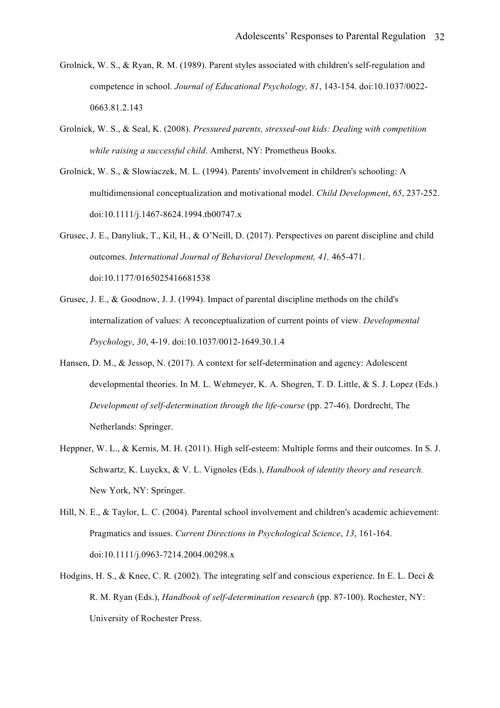- Grolnick, W. S., & Ryan, R. M. (1989). Parent styles associated with children's self-regulation and competence in school. *Journal of Educational Psychology, 81*, 143-154. doi:10.1037/0022- 0663.81.2.143
- Grolnick, W. S., & Seal, K. (2008). *Pressured parents, stressed-out kids: Dealing with competition while raising a successful child*. Amherst, NY: Prometheus Books.
- Grolnick, W. S., & Slowiaczek, M. L. (1994). Parents' involvement in children's schooling: A multidimensional conceptualization and motivational model. *Child Development*, *65*, 237-252. doi:10.1111/j.1467-8624.1994.tb00747.x
- Grusec, J. E., Danyliuk, T., Kil, H., & O'Neill, D. (2017). Perspectives on parent discipline and child outcomes. *International Journal of Behavioral Development, 41,* 465-471. doi:10.1177/0165025416681538
- Grusec, J. E., & Goodnow, J. J. (1994). Impact of parental discipline methods on the child's internalization of values: A reconceptualization of current points of view. *Developmental Psychology*, *30*, 4-19. doi:10.1037/0012-1649.30.1.4
- Hansen, D. M., & Jessop, N. (2017). A context for self-determination and agency: Adolescent developmental theories. In M. L. Wehmeyer, K. A. Shogren, T. D. Little, & S. J. Lopez (Eds.) *Development of self-determination through the life-course* (pp. 27-46). Dordrecht, The Netherlands: Springer.
- Heppner, W. L., & Kernis, M. H. (2011). High self-esteem: Multiple forms and their outcomes. In S. J. Schwartz, K. Luyckx, & V. L. Vignoles (Eds.), *Handbook of identity theory and research.* New York, NY: Springer.
- Hill, N. E., & Taylor, L. C. (2004). Parental school involvement and children's academic achievement: Pragmatics and issues. *Current Directions in Psychological Science*, *13*, 161-164. doi:10.1111/j.0963-7214.2004.00298.x
- Hodgins, H. S., & Knee, C. R. (2002). The integrating self and conscious experience. In E. L. Deci & R. M. Ryan (Eds.), *Handbook of self-determination research* (pp. 87-100). Rochester, NY: University of Rochester Press.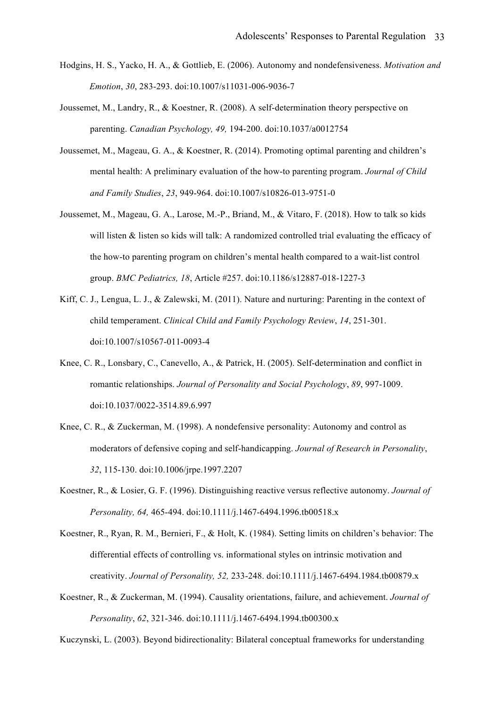- Hodgins, H. S., Yacko, H. A., & Gottlieb, E. (2006). Autonomy and nondefensiveness. *Motivation and Emotion*, *30*, 283-293. doi:10.1007/s11031-006-9036-7
- Joussemet, M., Landry, R., & Koestner, R. (2008). A self-determination theory perspective on parenting. *Canadian Psychology, 49,* 194-200. doi:10.1037/a0012754
- Joussemet, M., Mageau, G. A., & Koestner, R. (2014). Promoting optimal parenting and children's mental health: A preliminary evaluation of the how-to parenting program. *Journal of Child and Family Studies*, *23*, 949-964. doi:10.1007/s10826-013-9751-0
- Joussemet, M., Mageau, G. A., Larose, M.-P., Briand, M., & Vitaro, F. (2018). How to talk so kids will listen & listen so kids will talk: A randomized controlled trial evaluating the efficacy of the how-to parenting program on children's mental health compared to a wait-list control group. *BMC Pediatrics, 18*, Article #257. doi:10.1186/s12887-018-1227-3
- Kiff, C. J., Lengua, L. J., & Zalewski, M. (2011). Nature and nurturing: Parenting in the context of child temperament. *Clinical Child and Family Psychology Review*, *14*, 251-301. doi:10.1007/s10567-011-0093-4
- Knee, C. R., Lonsbary, C., Canevello, A., & Patrick, H. (2005). Self-determination and conflict in romantic relationships. *Journal of Personality and Social Psychology*, *89*, 997-1009. doi:10.1037/0022-3514.89.6.997
- Knee, C. R., & Zuckerman, M. (1998). A nondefensive personality: Autonomy and control as moderators of defensive coping and self-handicapping. *Journal of Research in Personality*, *32*, 115-130. doi:10.1006/jrpe.1997.2207
- Koestner, R., & Losier, G. F. (1996). Distinguishing reactive versus reflective autonomy. *Journal of Personality, 64,* 465-494. doi:10.1111/j.1467-6494.1996.tb00518.x
- Koestner, R., Ryan, R. M., Bernieri, F., & Holt, K. (1984). Setting limits on children's behavior: The differential effects of controlling vs. informational styles on intrinsic motivation and creativity. *Journal of Personality, 52,* 233-248. doi:10.1111/j.1467-6494.1984.tb00879.x
- Koestner, R., & Zuckerman, M. (1994). Causality orientations, failure, and achievement. *Journal of Personality*, *62*, 321-346. doi:10.1111/j.1467-6494.1994.tb00300.x

Kuczynski, L. (2003). Beyond bidirectionality: Bilateral conceptual frameworks for understanding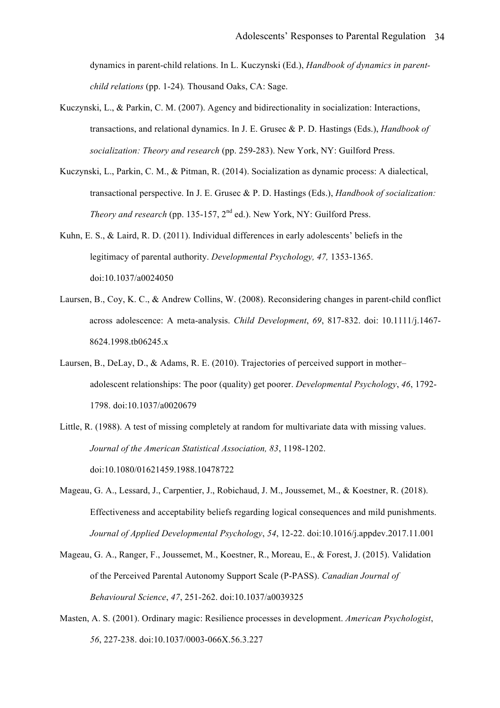dynamics in parent-child relations. In L. Kuczynski (Ed.), *Handbook of dynamics in parentchild relations* (pp. 1-24)*.* Thousand Oaks, CA: Sage.

- Kuczynski, L., & Parkin, C. M. (2007). Agency and bidirectionality in socialization: Interactions, transactions, and relational dynamics. In J. E. Grusec & P. D. Hastings (Eds.), *Handbook of socialization: Theory and research* (pp. 259-283). New York, NY: Guilford Press.
- Kuczynski, L., Parkin, C. M., & Pitman, R. (2014). Socialization as dynamic process: A dialectical, transactional perspective. In J. E. Grusec & P. D. Hastings (Eds.), *Handbook of socialization: Theory and research* (pp. 135-157, 2<sup>nd</sup> ed.). New York, NY: Guilford Press.
- Kuhn, E. S., & Laird, R. D. (2011). Individual differences in early adolescents' beliefs in the legitimacy of parental authority. *Developmental Psychology, 47,* 1353-1365. doi:10.1037/a0024050
- Laursen, B., Coy, K. C., & Andrew Collins, W. (2008). Reconsidering changes in parent-child conflict across adolescence: A meta-analysis. *Child Development*, *69*, 817-832. doi: 10.1111/j.1467- 8624.1998.tb06245.x
- Laursen, B., DeLay, D., & Adams, R. E. (2010). Trajectories of perceived support in mother– adolescent relationships: The poor (quality) get poorer. *Developmental Psychology*, *46*, 1792- 1798. doi:10.1037/a0020679
- Little, R. (1988). A test of missing completely at random for multivariate data with missing values. *Journal of the American Statistical Association, 83*, 1198-1202. doi:10.1080/01621459.1988.10478722
- Mageau, G. A., Lessard, J., Carpentier, J., Robichaud, J. M., Joussemet, M., & Koestner, R. (2018). Effectiveness and acceptability beliefs regarding logical consequences and mild punishments. *Journal of Applied Developmental Psychology*, *54*, 12-22. doi:10.1016/j.appdev.2017.11.001
- Mageau, G. A., Ranger, F., Joussemet, M., Koestner, R., Moreau, E., & Forest, J. (2015). Validation of the Perceived Parental Autonomy Support Scale (P-PASS). *Canadian Journal of Behavioural Science*, *47*, 251-262. doi:10.1037/a0039325
- Masten, A. S. (2001). Ordinary magic: Resilience processes in development. *American Psychologist*, *56*, 227-238. doi:10.1037/0003-066X.56.3.227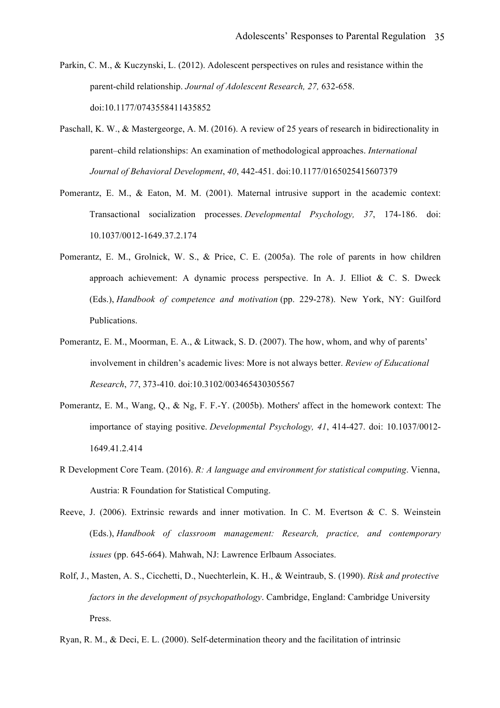- Parkin, C. M., & Kuczynski, L. (2012). Adolescent perspectives on rules and resistance within the parent-child relationship. *Journal of Adolescent Research, 27,* 632-658. doi:10.1177/0743558411435852
- Paschall, K. W., & Mastergeorge, A. M. (2016). A review of 25 years of research in bidirectionality in parent–child relationships: An examination of methodological approaches. *International Journal of Behavioral Development*, *40*, 442-451. doi:10.1177/0165025415607379
- Pomerantz, E. M., & Eaton, M. M. (2001). Maternal intrusive support in the academic context: Transactional socialization processes. *Developmental Psychology, 37*, 174-186. doi: 10.1037/0012-1649.37.2.174
- Pomerantz, E. M., Grolnick, W. S., & Price, C. E. (2005a). The role of parents in how children approach achievement: A dynamic process perspective. In A. J. Elliot & C. S. Dweck (Eds.), *Handbook of competence and motivation* (pp. 229-278). New York, NY: Guilford Publications.
- Pomerantz, E. M., Moorman, E. A., & Litwack, S. D. (2007). The how, whom, and why of parents' involvement in children's academic lives: More is not always better. *Review of Educational Research*, *77*, 373-410. doi:10.3102/003465430305567
- Pomerantz, E. M., Wang, Q., & Ng, F. F.-Y. (2005b). Mothers' affect in the homework context: The importance of staying positive. *Developmental Psychology, 41*, 414-427. doi: 10.1037/0012- 1649.41.2.414
- R Development Core Team. (2016). *R: A language and environment for statistical computing*. Vienna, Austria: R Foundation for Statistical Computing.
- Reeve, J. (2006). Extrinsic rewards and inner motivation. In C. M. Evertson & C. S. Weinstein (Eds.), *Handbook of classroom management: Research, practice, and contemporary issues* (pp. 645-664). Mahwah, NJ: Lawrence Erlbaum Associates.
- Rolf, J., Masten, A. S., Cicchetti, D., Nuechterlein, K. H., & Weintraub, S. (1990). *Risk and protective factors in the development of psychopathology*. Cambridge, England: Cambridge University Press.

Ryan, R. M., & Deci, E. L. (2000). Self-determination theory and the facilitation of intrinsic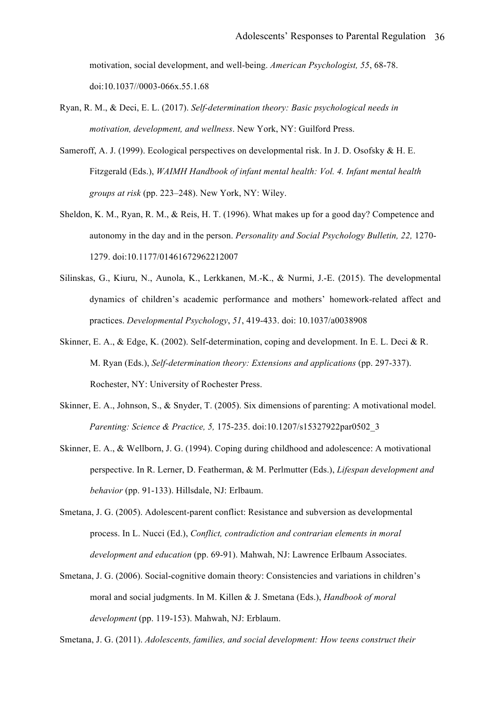motivation, social development, and well-being. *American Psychologist, 55*, 68-78. doi:10.1037//0003-066x.55.1.68

- Ryan, R. M., & Deci, E. L. (2017). *Self-determination theory: Basic psychological needs in motivation, development, and wellness*. New York, NY: Guilford Press.
- Sameroff, A. J. (1999). Ecological perspectives on developmental risk. In J. D. Osofsky & H. E. Fitzgerald (Eds.), *WAIMH Handbook of infant mental health: Vol. 4. Infant mental health groups at risk* (pp. 223–248). New York, NY: Wiley.
- Sheldon, K. M., Ryan, R. M., & Reis, H. T. (1996). What makes up for a good day? Competence and autonomy in the day and in the person. *Personality and Social Psychology Bulletin, 22,* 1270- 1279. doi:10.1177/01461672962212007
- Silinskas, G., Kiuru, N., Aunola, K., Lerkkanen, M.-K., & Nurmi, J.-E. (2015). The developmental dynamics of children's academic performance and mothers' homework-related affect and practices. *Developmental Psychology*, *51*, 419-433. doi: 10.1037/a0038908
- Skinner, E. A., & Edge, K. (2002). Self-determination, coping and development. In E. L. Deci & R. M. Ryan (Eds.), *Self-determination theory: Extensions and applications* (pp. 297-337). Rochester, NY: University of Rochester Press.
- Skinner, E. A., Johnson, S., & Snyder, T. (2005). Six dimensions of parenting: A motivational model. *Parenting: Science & Practice, 5,* 175-235. doi:10.1207/s15327922par0502\_3
- Skinner, E. A., & Wellborn, J. G. (1994). Coping during childhood and adolescence: A motivational perspective. In R. Lerner, D. Featherman, & M. Perlmutter (Eds.), *Lifespan development and behavior* (pp. 91-133). Hillsdale, NJ: Erlbaum.
- Smetana, J. G. (2005). Adolescent-parent conflict: Resistance and subversion as developmental process. In L. Nucci (Ed.), *Conflict, contradiction and contrarian elements in moral development and education* (pp. 69-91). Mahwah, NJ: Lawrence Erlbaum Associates.
- Smetana, J. G. (2006). Social-cognitive domain theory: Consistencies and variations in children's moral and social judgments. In M. Killen & J. Smetana (Eds.), *Handbook of moral development* (pp. 119-153). Mahwah, NJ: Erblaum.

Smetana, J. G. (2011). *Adolescents, families, and social development: How teens construct their*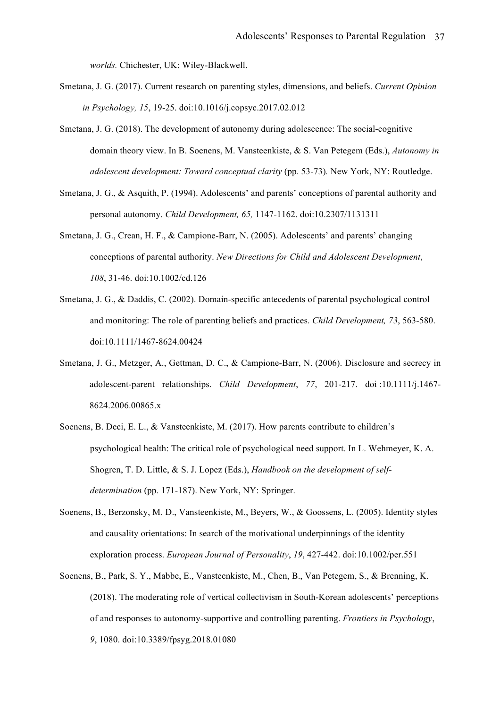*worlds.* Chichester, UK: Wiley-Blackwell.

- Smetana, J. G. (2017). Current research on parenting styles, dimensions, and beliefs. *Current Opinion in Psychology, 15*, 19-25. doi:10.1016/j.copsyc.2017.02.012
- Smetana, J. G. (2018). The development of autonomy during adolescence: The social-cognitive domain theory view. In B. Soenens, M. Vansteenkiste, & S. Van Petegem (Eds.), *Autonomy in adolescent development: Toward conceptual clarity* (pp. 53-73)*.* New York, NY: Routledge.
- Smetana, J. G., & Asquith, P. (1994). Adolescents' and parents' conceptions of parental authority and personal autonomy. *Child Development, 65,* 1147-1162. doi:10.2307/1131311
- Smetana, J. G., Crean, H. F., & Campione-Barr, N. (2005). Adolescents' and parents' changing conceptions of parental authority. *New Directions for Child and Adolescent Development*, *108*, 31-46. doi:10.1002/cd.126
- Smetana, J. G., & Daddis, C. (2002). Domain-specific antecedents of parental psychological control and monitoring: The role of parenting beliefs and practices. *Child Development, 73*, 563-580. doi:10.1111/1467-8624.00424
- Smetana, J. G., Metzger, A., Gettman, D. C., & Campione-Barr, N. (2006). Disclosure and secrecy in adolescent-parent relationships. *Child Development*, *77*, 201-217. doi :10.1111/j.1467- 8624.2006.00865.x
- Soenens, B. Deci, E. L., & Vansteenkiste, M. (2017). How parents contribute to children's psychological health: The critical role of psychological need support. In L. Wehmeyer, K. A. Shogren, T. D. Little, & S. J. Lopez (Eds.), *Handbook on the development of selfdetermination* (pp. 171-187). New York, NY: Springer.
- Soenens, B., Berzonsky, M. D., Vansteenkiste, M., Beyers, W., & Goossens, L. (2005). Identity styles and causality orientations: In search of the motivational underpinnings of the identity exploration process. *European Journal of Personality*, *19*, 427-442. doi:10.1002/per.551
- Soenens, B., Park, S. Y., Mabbe, E., Vansteenkiste, M., Chen, B., Van Petegem, S., & Brenning, K. (2018). The moderating role of vertical collectivism in South-Korean adolescents' perceptions of and responses to autonomy-supportive and controlling parenting. *Frontiers in Psychology*, *9*, 1080. doi:10.3389/fpsyg.2018.01080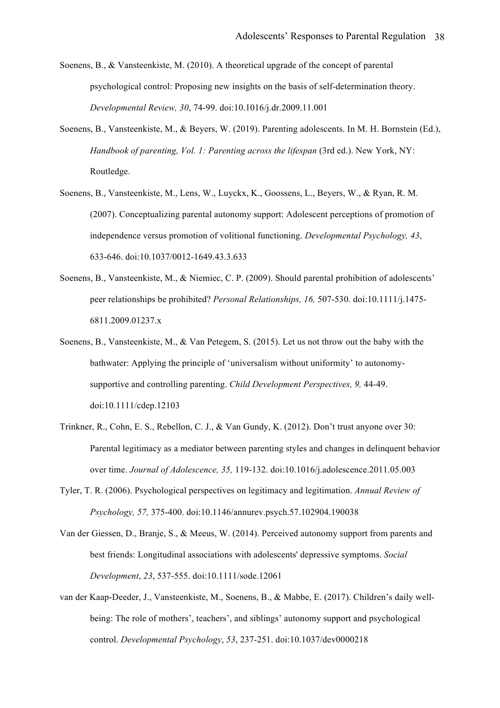- Soenens, B., & Vansteenkiste, M. (2010). A theoretical upgrade of the concept of parental psychological control: Proposing new insights on the basis of self-determination theory. *Developmental Review, 30*, 74-99. doi:10.1016/j.dr.2009.11.001
- Soenens, B., Vansteenkiste, M., & Beyers, W. (2019). Parenting adolescents. In M. H. Bornstein (Ed.), *Handbook of parenting, Vol. 1: Parenting across the lifespan* (3rd ed.). New York, NY: Routledge.
- Soenens, B., Vansteenkiste, M., Lens, W., Luyckx, K., Goossens, L., Beyers, W., & Ryan, R. M. (2007). Conceptualizing parental autonomy support: Adolescent perceptions of promotion of independence versus promotion of volitional functioning. *Developmental Psychology, 43*, 633-646. doi:10.1037/0012-1649.43.3.633
- Soenens, B., Vansteenkiste, M., & Niemiec, C. P. (2009). Should parental prohibition of adolescents' peer relationships be prohibited? *Personal Relationships, 16,* 507-530. doi:10.1111/j.1475- 6811.2009.01237.x
- Soenens, B., Vansteenkiste, M., & Van Petegem, S. (2015). Let us not throw out the baby with the bathwater: Applying the principle of 'universalism without uniformity' to autonomysupportive and controlling parenting. *Child Development Perspectives, 9,* 44-49. doi:10.1111/cdep.12103
- Trinkner, R., Cohn, E. S., Rebellon, C. J., & Van Gundy, K. (2012). Don't trust anyone over 30: Parental legitimacy as a mediator between parenting styles and changes in delinquent behavior over time. *Journal of Adolescence, 35,* 119-132. doi:10.1016/j.adolescence.2011.05.003
- Tyler, T. R. (2006). Psychological perspectives on legitimacy and legitimation. *Annual Review of Psychology, 57,* 375-400. doi:10.1146/annurev.psych.57.102904.190038
- Van der Giessen, D., Branje, S., & Meeus, W. (2014). Perceived autonomy support from parents and best friends: Longitudinal associations with adolescents' depressive symptoms. *Social Development*, *23*, 537-555. doi:10.1111/sode.12061
- van der Kaap-Deeder, J., Vansteenkiste, M., Soenens, B., & Mabbe, E. (2017). Children's daily wellbeing: The role of mothers', teachers', and siblings' autonomy support and psychological control. *Developmental Psychology*, *53*, 237-251. doi:10.1037/dev0000218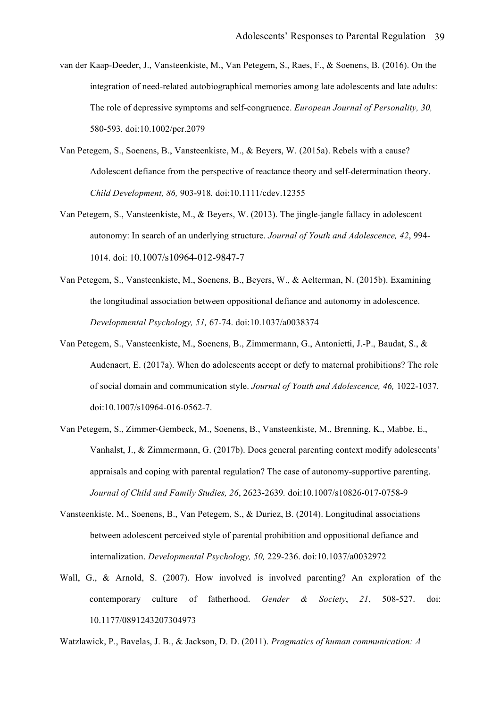- van der Kaap-Deeder, J., Vansteenkiste, M., Van Petegem, S., Raes, F., & Soenens, B. (2016). On the integration of need-related autobiographical memories among late adolescents and late adults: The role of depressive symptoms and self-congruence. *European Journal of Personality, 30,*  580-593*.* doi:10.1002/per.2079
- Van Petegem, S., Soenens, B., Vansteenkiste, M., & Beyers, W. (2015a). Rebels with a cause? Adolescent defiance from the perspective of reactance theory and self-determination theory. *Child Development, 86,* 903-918*.* doi:10.1111/cdev.12355
- Van Petegem, S., Vansteenkiste, M., & Beyers, W. (2013). The jingle-jangle fallacy in adolescent autonomy: In search of an underlying structure. *Journal of Youth and Adolescence, 42*, 994- 1014. doi: 10.1007/s10964-012-9847-7
- Van Petegem, S., Vansteenkiste, M., Soenens, B., Beyers, W., & Aelterman, N. (2015b). Examining the longitudinal association between oppositional defiance and autonomy in adolescence. *Developmental Psychology, 51,* 67-74. doi:10.1037/a0038374
- Van Petegem, S., Vansteenkiste, M., Soenens, B., Zimmermann, G., Antonietti, J.-P., Baudat, S., & Audenaert, E. (2017a). When do adolescents accept or defy to maternal prohibitions? The role of social domain and communication style. *Journal of Youth and Adolescence, 46,* 1022-1037*.*  doi:10.1007/s10964-016-0562-7.
- Van Petegem, S., Zimmer-Gembeck, M., Soenens, B., Vansteenkiste, M., Brenning, K., Mabbe, E., Vanhalst, J., & Zimmermann, G. (2017b). Does general parenting context modify adolescents' appraisals and coping with parental regulation? The case of autonomy-supportive parenting. *Journal of Child and Family Studies, 26*, 2623-2639*.* doi:10.1007/s10826-017-0758-9
- Vansteenkiste, M., Soenens, B., Van Petegem, S., & Duriez, B. (2014). Longitudinal associations between adolescent perceived style of parental prohibition and oppositional defiance and internalization. *Developmental Psychology, 50,* 229-236. doi:10.1037/a0032972
- Wall, G., & Arnold, S. (2007). How involved is involved parenting? An exploration of the contemporary culture of fatherhood. *Gender & Society*, *21*, 508-527. doi: 10.1177/0891243207304973

Watzlawick, P., Bavelas, J. B., & Jackson, D. D. (2011). *Pragmatics of human communication: A*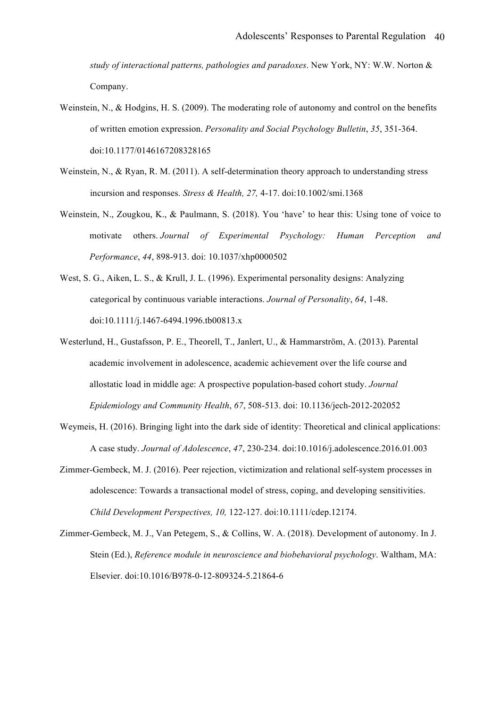*study of interactional patterns, pathologies and paradoxes*. New York, NY: W.W. Norton & Company.

- Weinstein, N., & Hodgins, H. S. (2009). The moderating role of autonomy and control on the benefits of written emotion expression. *Personality and Social Psychology Bulletin*, *35*, 351-364. doi:10.1177/0146167208328165
- Weinstein, N., & Ryan, R. M. (2011). A self-determination theory approach to understanding stress incursion and responses. *Stress & Health, 27,* 4-17. doi:10.1002/smi.1368
- Weinstein, N., Zougkou, K., & Paulmann, S. (2018). You 'have' to hear this: Using tone of voice to motivate others. *Journal of Experimental Psychology: Human Perception and Performance*, *44*, 898-913. doi: 10.1037/xhp0000502
- West, S. G., Aiken, L. S., & Krull, J. L. (1996). Experimental personality designs: Analyzing categorical by continuous variable interactions. *Journal of Personality*, *64*, 1-48. doi:10.1111/j.1467-6494.1996.tb00813.x
- Westerlund, H., Gustafsson, P. E., Theorell, T., Janlert, U., & Hammarström, A. (2013). Parental academic involvement in adolescence, academic achievement over the life course and allostatic load in middle age: A prospective population-based cohort study. *Journal Epidemiology and Community Health*, *67*, 508-513. doi: 10.1136/jech-2012-202052
- Weymeis, H. (2016). Bringing light into the dark side of identity: Theoretical and clinical applications: A case study. *Journal of Adolescence*, *47*, 230-234. doi:10.1016/j.adolescence.2016.01.003
- Zimmer-Gembeck, M. J. (2016). Peer rejection, victimization and relational self-system processes in adolescence: Towards a transactional model of stress, coping, and developing sensitivities. *Child Development Perspectives, 10,* 122-127. doi:10.1111/cdep.12174.
- Zimmer-Gembeck, M. J., Van Petegem, S., & Collins, W. A. (2018). Development of autonomy. In J. Stein (Ed.), *Reference module in neuroscience and biobehavioral psychology*. Waltham, MA: Elsevier. doi:10.1016/B978-0-12-809324-5.21864-6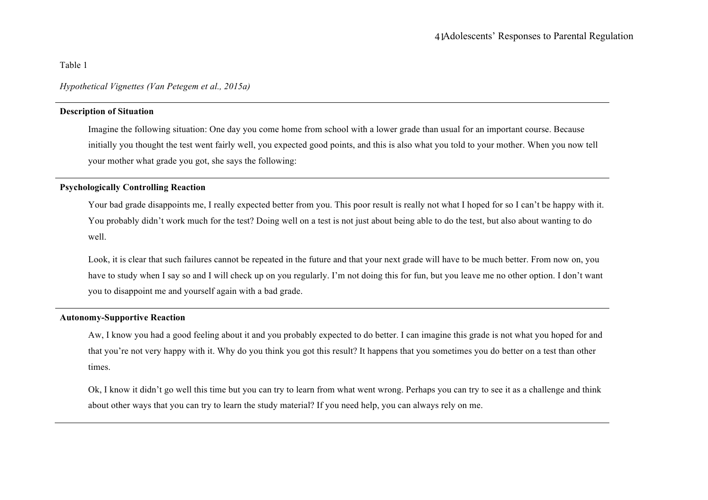Table 1

*Hypothetical Vignettes (Van Petegem et al., 2015a)*

# **Description of Situation**

Imagine the following situation: One day you come home from school with a lower grade than usual for an important course. Because initially you thought the test went fairly well, you expected good points, and this is also what you told to your mother. When you now tell your mother what grade you got, she says the following:

# **Psychologically Controlling Reaction**

Your bad grade disappoints me, I really expected better from you. This poor result is really not what I hoped for so I can't be happy with it. You probably didn't work much for the test? Doing well on a test is not just about being able to do the test, but also about wanting to do well.

Look, it is clear that such failures cannot be repeated in the future and that your next grade will have to be much better. From now on, you have to study when I say so and I will check up on you regularly. I'm not doing this for fun, but you leave me no other option. I don't want you to disappoint me and yourself again with a bad grade.

# **Autonomy-Supportive Reaction**

Aw, I know you had a good feeling about it and you probably expected to do better. I can imagine this grade is not what you hoped for and that you're not very happy with it. Why do you think you got this result? It happens that you sometimes you do better on a test than other times.

Ok, I know it didn't go well this time but you can try to learn from what went wrong. Perhaps you can try to see it as a challenge and think about other ways that you can try to learn the study material? If you need help, you can always rely on me.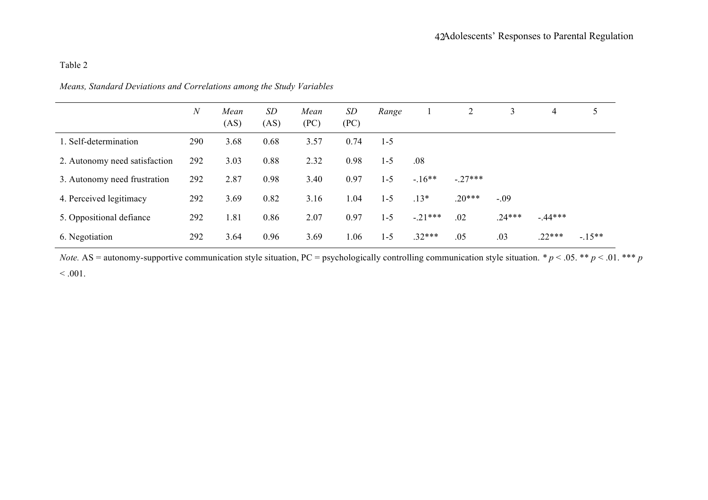# Table 2

|                               | $\boldsymbol{N}$ | Mean<br>(AS) | SD<br>(AS) | Mean<br>(PC) | SD<br>(PC) | Range   |           | $\overline{2}$ | 3        | $\overline{4}$ | 5       |
|-------------------------------|------------------|--------------|------------|--------------|------------|---------|-----------|----------------|----------|----------------|---------|
| 1. Self-determination         | 290              | 3.68         | 0.68       | 3.57         | 0.74       | $1 - 5$ |           |                |          |                |         |
| 2. Autonomy need satisfaction | 292              | 3.03         | 0.88       | 2.32         | 0.98       | $1 - 5$ | .08       |                |          |                |         |
| 3. Autonomy need frustration  | 292              | 2.87         | 0.98       | 3.40         | 0.97       | $1 - 5$ | $-16**$   | $-27***$       |          |                |         |
| 4. Perceived legitimacy       | 292              | 3.69         | 0.82       | 3.16         | 1.04       | $1 - 5$ | $.13*$    | $.20***$       | $-.09$   |                |         |
| 5. Oppositional defiance      | 292              | 1.81         | 0.86       | 2.07         | 0.97       | $1 - 5$ | $-.21***$ | .02            | $.24***$ | $-44***$       |         |
| 6. Negotiation                | 292              | 3.64         | 0.96       | 3.69         | 1.06       | $1 - 5$ | $.32***$  | .05            | .03      | $.22***$       | $-15**$ |

*Means, Standard Deviations and Correlations among the Study Variables*

*Note.* AS = autonomy-supportive communication style situation, PC = psychologically controlling communication style situation.  $* p < .05$ .  $** p < .01$ . \*\*\* *p*  $< 0.001$ .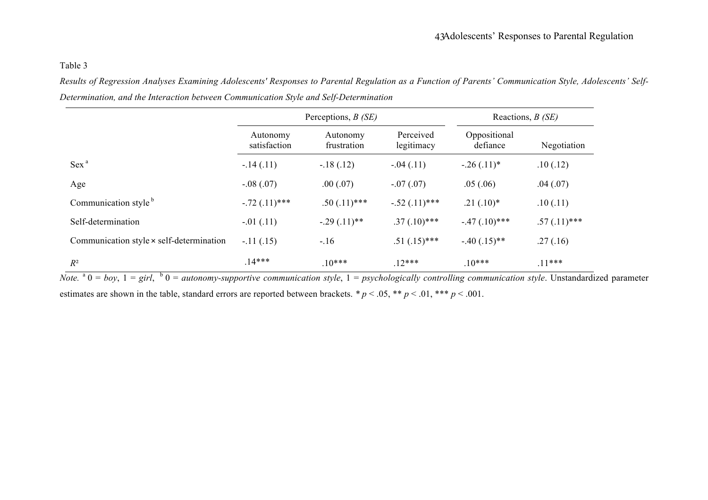# Table 3

*Results of Regression Analyses Examining Adolescents' Responses to Parental Regulation as a Function of Parents' Communication Style, Adolescents' Self-Determination, and the Interaction between Communication Style and Self-Determination*

|                                                 |                          | Perceptions, $B(SE)$    | Reactions, $B(SE)$      |                          |                |  |
|-------------------------------------------------|--------------------------|-------------------------|-------------------------|--------------------------|----------------|--|
|                                                 | Autonomy<br>satisfaction | Autonomy<br>frustration | Perceived<br>legitimacy | Oppositional<br>defiance | Negotiation    |  |
| $Sex^a$                                         | $-.14(.11)$              | $-.18(.12)$             | $-.04(.11)$             | $-.26(.11)*$             | .10(.12)       |  |
| Age                                             | $-.08(.07)$              | .00(.07)                | $-.07(.07)$             | .05(.06)                 | .04(.07)       |  |
| Communication style <sup>b</sup>                | $-.72(.11)***$           | $.50(.11)$ ***          | $-.52(.11)***$          | $.21(.10)*$              | .10(.11)       |  |
| Self-determination                              | $-01(0.11)$              | $-.29(.11)**$           | $.37(.10)$ ***          | $-.47(.10)$ ***          | $.57(.11)$ *** |  |
| Communication style $\times$ self-determination | $-.11(.15)$              | $-.16$                  | $.51(.15)$ ***          | $-.40(.15)**$            | .27(.16)       |  |
| $R^2$                                           | $.14***$                 | $10***$                 | $12***$                 | $10***$                  | $.11***$       |  |

*Note.*  $a_0 = b_0$ ,  $1 = girl$ ,  $b_0 = autonomy-supportionive communication style, 1 = psychologically controlling communication style. Unstandardized parameter$ estimates are shown in the table, standard errors are reported between brackets. *\* p* < .05, \*\* *p* < .01, \*\*\* *p* < .001.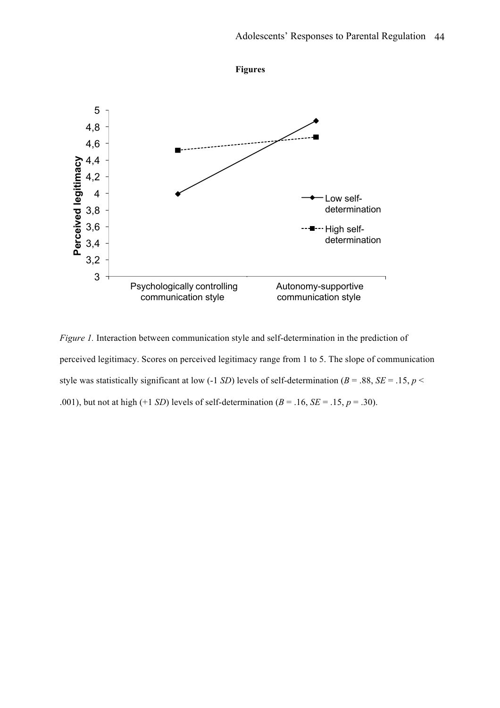

*Figure 1.* Interaction between communication style and self-determination in the prediction of perceived legitimacy. Scores on perceived legitimacy range from 1 to 5. The slope of communication style was statistically significant at low (-1 *SD*) levels of self-determination (*B* = .88, *SE* = .15, *p* < .001), but not at high (+1 *SD*) levels of self-determination ( $B = .16$ ,  $SE = .15$ ,  $p = .30$ ).